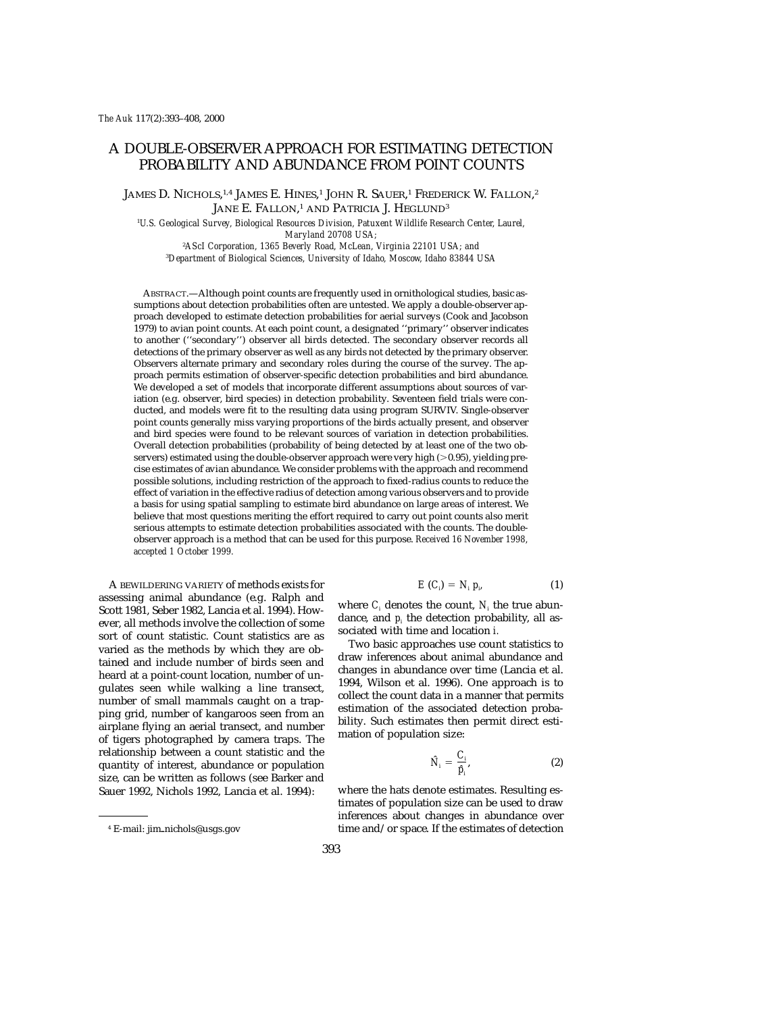# A DOUBLE-OBSERVER APPROACH FOR ESTIMATING DETECTION PROBABILITY AND ABUNDANCE FROM POINT COUNTS

James D. Nichols,<sup>1,4</sup> James E. Hines,<sup>1</sup> John R. Sauer,<sup>1</sup> Frederick W. Fallon,<sup>2</sup> JANE E. FALLON, <sup>1</sup> AND PATRICIA J. HEGLUND3

1 *U.S. Geological Survey, Biological Resources Division, Patuxent Wildlife Research Center, Laurel, Maryland 20708 USA;*

2 *AScI Corporation, 1365 Beverly Road, McLean, Virginia 22101 USA; and* 3 *Department of Biological Sciences, University of Idaho, Moscow, Idaho 83844 USA*

ABSTRACT.—Although point counts are frequently used in ornithological studies, basic assumptions about detection probabilities often are untested. We apply a double-observer approach developed to estimate detection probabilities for aerial surveys (Cook and Jacobson 1979) to avian point counts. At each point count, a designated ''primary'' observer indicates to another (''secondary'') observer all birds detected. The secondary observer records all detections of the primary observer as well as any birds not detected by the primary observer. Observers alternate primary and secondary roles during the course of the survey. The approach permits estimation of observer-specific detection probabilities and bird abundance. We developed a set of models that incorporate different assumptions about sources of variation (e.g. observer, bird species) in detection probability. Seventeen field trials were conducted, and models were fit to the resulting data using program SURVIV. Single-observer point counts generally miss varying proportions of the birds actually present, and observer and bird species were found to be relevant sources of variation in detection probabilities. Overall detection probabilities (probability of being detected by at least one of the two observers) estimated using the double-observer approach were very high  $(>0.95)$ , yielding precise estimates of avian abundance. We consider problems with the approach and recommend possible solutions, including restriction of the approach to fixed-radius counts to reduce the effect of variation in the effective radius of detection among various observers and to provide a basis for using spatial sampling to estimate bird abundance on large areas of interest. We believe that most questions meriting the effort required to carry out point counts also merit serious attempts to estimate detection probabilities associated with the counts. The doubleobserver approach is a method that can be used for this purpose. *Received 16 November 1998, accepted 1 October 1999.*

A BEWILDERING VARIETY of methods exists for assessing animal abundance (e.g. Ralph and Scott 1981, Seber 1982, Lancia et al. 1994). However, all methods involve the collection of some sort of count statistic. Count statistics are as varied as the methods by which they are obtained and include number of birds seen and heard at a point-count location, number of ungulates seen while walking a line transect, number of small mammals caught on a trapping grid, number of kangaroos seen from an airplane flying an aerial transect, and number of tigers photographed by camera traps. The relationship between a count statistic and the quantity of interest, abundance or population size, can be written as follows (see Barker and Sauer 1992, Nichols 1992, Lancia et al. 1994):

$$
E(C_i) = N_i p_i, \qquad (1)
$$

where  $C_i$  denotes the count,  $N_i$  the true abundance, and *pi* the detection probability, all associated with time and location *i.*

Two basic approaches use count statistics to draw inferences about animal abundance and changes in abundance over time (Lancia et al. 1994, Wilson et al. 1996). One approach is to collect the count data in a manner that permits estimation of the associated detection probability. Such estimates then permit direct estimation of population size:

$$
\hat{N}_i = \frac{C_i}{\hat{p}_i},\tag{2}
$$

where the hats denote estimates. Resulting estimates of population size can be used to draw inferences about changes in abundance over time and/or space. If the estimates of detection

<sup>&</sup>lt;sup>4</sup> E-mail: jim\_nichols@usgs.gov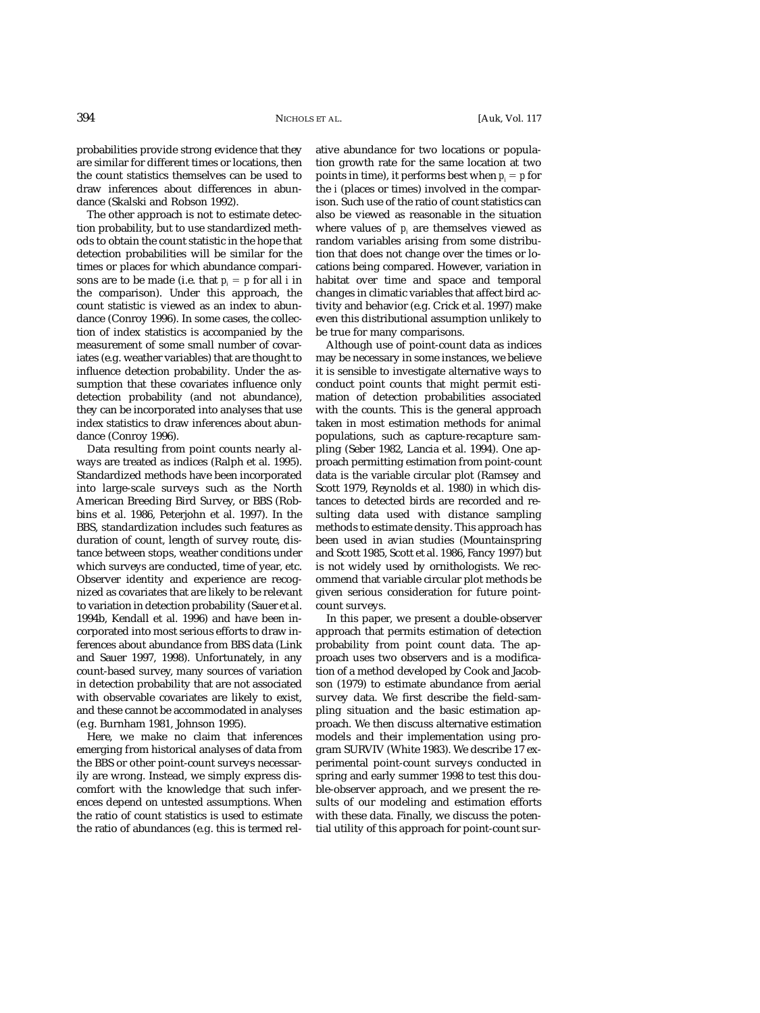probabilities provide strong evidence that they are similar for different times or locations, then the count statistics themselves can be used to draw inferences about differences in abundance (Skalski and Robson 1992).

The other approach is not to estimate detection probability, but to use standardized methods to obtain the count statistic in the hope that detection probabilities will be similar for the times or places for which abundance comparisons are to be made (i.e. that  $p_i = p$  for all *i* in the comparison). Under this approach, the count statistic is viewed as an index to abundance (Conroy 1996). In some cases, the collection of index statistics is accompanied by the measurement of some small number of covariates (e.g. weather variables) that are thought to influence detection probability. Under the assumption that these covariates influence only detection probability (and not abundance), they can be incorporated into analyses that use index statistics to draw inferences about abundance (Conroy 1996).

Data resulting from point counts nearly always are treated as indices (Ralph et al. 1995). Standardized methods have been incorporated into large-scale surveys such as the North American Breeding Bird Survey, or BBS (Robbins et al. 1986, Peterjohn et al. 1997). In the BBS, standardization includes such features as duration of count, length of survey route, distance between stops, weather conditions under which surveys are conducted, time of year, etc. Observer identity and experience are recognized as covariates that are likely to be relevant to variation in detection probability (Sauer et al. 1994b, Kendall et al. 1996) and have been incorporated into most serious efforts to draw inferences about abundance from BBS data (Link and Sauer 1997, 1998). Unfortunately, in any count-based survey, many sources of variation in detection probability that are not associated with observable covariates are likely to exist, and these cannot be accommodated in analyses (e.g. Burnham 1981, Johnson 1995).

Here, we make no claim that inferences emerging from historical analyses of data from the BBS or other point-count surveys necessarily are wrong. Instead, we simply express discomfort with the knowledge that such inferences depend on untested assumptions. When the ratio of count statistics is used to estimate the ratio of abundances (e.g. this is termed relative abundance for two locations or population growth rate for the same location at two points in time), it performs best when  $p_i = p$  for the *i* (places or times) involved in the comparison. Such use of the ratio of count statistics can also be viewed as reasonable in the situation where values of  $p_i$  are themselves viewed as random variables arising from some distribution that does not change over the times or locations being compared. However, variation in habitat over time and space and temporal changes in climatic variables that affect bird activity and behavior (e.g. Crick et al. 1997) make even this distributional assumption unlikely to be true for many comparisons.

Although use of point-count data as indices may be necessary in some instances, we believe it is sensible to investigate alternative ways to conduct point counts that might permit estimation of detection probabilities associated with the counts. This is the general approach taken in most estimation methods for animal populations, such as capture-recapture sampling (Seber 1982, Lancia et al. 1994). One approach permitting estimation from point-count data is the variable circular plot (Ramsey and Scott 1979, Reynolds et al. 1980) in which distances to detected birds are recorded and resulting data used with distance sampling methods to estimate density. This approach has been used in avian studies (Mountainspring and Scott 1985, Scott et al. 1986, Fancy 1997) but is not widely used by ornithologists. We recommend that variable circular plot methods be given serious consideration for future pointcount surveys.

In this paper, we present a double-observer approach that permits estimation of detection probability from point count data. The approach uses two observers and is a modification of a method developed by Cook and Jacobson (1979) to estimate abundance from aerial survey data. We first describe the field-sampling situation and the basic estimation approach. We then discuss alternative estimation models and their implementation using program SURVIV (White 1983). We describe 17 experimental point-count surveys conducted in spring and early summer 1998 to test this double-observer approach, and we present the results of our modeling and estimation efforts with these data. Finally, we discuss the potential utility of this approach for point-count sur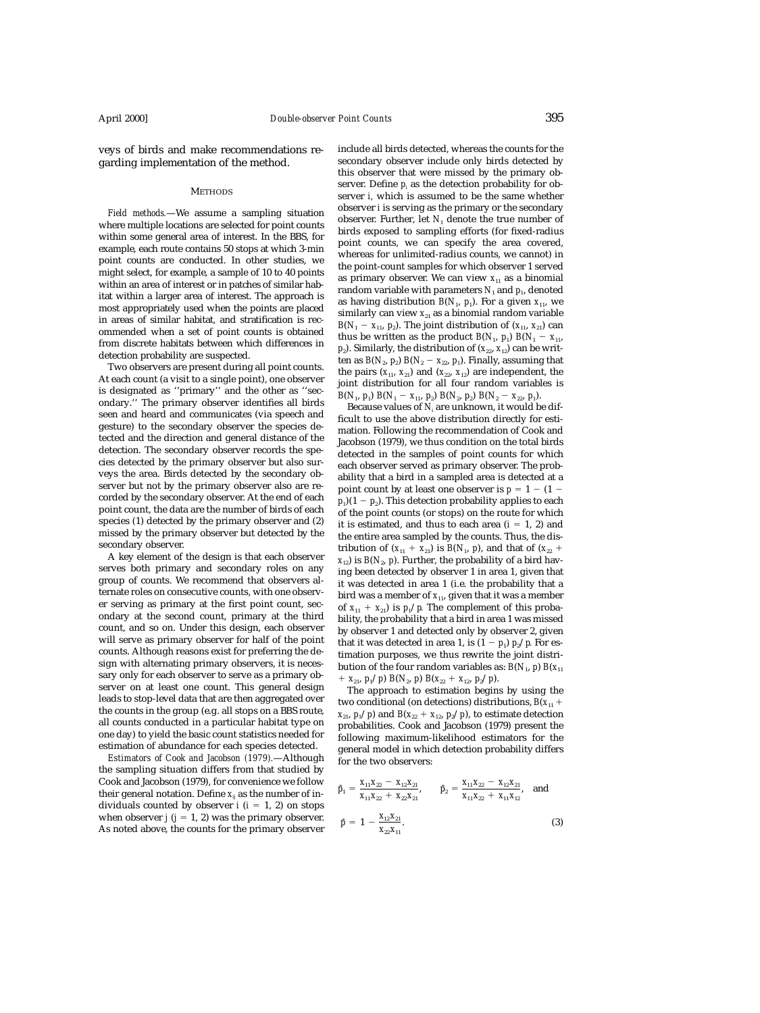veys of birds and make recommendations regarding implementation of the method.

#### **METHODS**

*Field methods.*—We assume a sampling situation where multiple locations are selected for point counts within some general area of interest. In the BBS, for example, each route contains 50 stops at which 3-min point counts are conducted. In other studies, we might select, for example, a sample of 10 to 40 points within an area of interest or in patches of similar habitat within a larger area of interest. The approach is most appropriately used when the points are placed in areas of similar habitat, and stratification is recommended when a set of point counts is obtained from discrete habitats between which differences in detection probability are suspected.

Two observers are present during all point counts. At each count (a visit to a single point), one observer is designated as ''primary'' and the other as ''secondary.'' The primary observer identifies all birds seen and heard and communicates (via speech and gesture) to the secondary observer the species detected and the direction and general distance of the detection. The secondary observer records the species detected by the primary observer but also surveys the area. Birds detected by the secondary observer but not by the primary observer also are recorded by the secondary observer. At the end of each point count, the data are the number of birds of each species (1) detected by the primary observer and (2) missed by the primary observer but detected by the secondary observer.

A key element of the design is that each observer serves both primary and secondary roles on any group of counts. We recommend that observers alternate roles on consecutive counts, with one observer serving as primary at the first point count, secondary at the second count, primary at the third count, and so on. Under this design, each observer will serve as primary observer for half of the point counts. Although reasons exist for preferring the design with alternating primary observers, it is necessary only for each observer to serve as a primary observer on at least one count. This general design leads to stop-level data that are then aggregated over the counts in the group (e.g. all stops on a BBS route, all counts conducted in a particular habitat type on one day) to yield the basic count statistics needed for estimation of abundance for each species detected.

*Estimators of Cook and Jacobson (1979).*—Although the sampling situation differs from that studied by Cook and Jacobson (1979), for convenience we follow their general notation. Define  $x_{ij}$  as the number of individuals counted by observer  $i$  ( $i = 1, 2$ ) on stops when observer  $j$  ( $j = 1, 2$ ) was the primary observer. As noted above, the counts for the primary observer include all birds detected, whereas the counts for the secondary observer include only birds detected by this observer that were missed by the primary observer. Define *pi* as the detection probability for observer *i,* which is assumed to be the same whether observer *i* is serving as the primary or the secondary observer. Further, let *N*<sup>1</sup> denote the true number of birds exposed to sampling efforts (for fixed-radius point counts, we can specify the area covered, whereas for unlimited-radius counts, we cannot) in the point-count samples for which observer 1 served as primary observer. We can view  $x_{11}$  as a binomial random variable with parameters  $N_1$  and  $p_1$ , denoted as having distribution  $B(N_1, p_1)$ . For a given  $x_{11}$ , we similarly can view  $x_{21}$  as a binomial random variable *B*( $N_1$  –  $x_{11}$ ,  $p_2$ ). The joint distribution of ( $x_{11}$ ,  $x_{21}$ ) can thus be written as the product  $B(N_1, p_1) B(N_1 - x_1)$ ,  $p_2$ ). Similarly, the distribution of  $(x_{22}, x_{12})$  can be written as  $B(N_2, p_2) B(N_2 - x_{22}, p_1)$ . Finally, assuming that the pairs  $(x_{11}, x_{21})$  and  $(x_{22}, x_{12})$  are independent, the joint distribution for all four random variables is *B*( $N_1$ ,  $p_1$ ) *B*( $N_1$  –  $x_{11}$ ,  $p_2$ ) *B*( $N_2$ ,  $p_2$ ) *B*( $N_2$  –  $x_{22}$ ,  $p_1$ ).

Because values of *Ni* are unknown, it would be difficult to use the above distribution directly for estimation. Following the recommendation of Cook and Jacobson (1979), we thus condition on the total birds detected in the samples of point counts for which each observer served as primary observer. The probability that a bird in a sampled area is detected at a point count by at least one observer is  $p = 1 - (1$  $p_1$ )(1 –  $p_2$ ). This detection probability applies to each of the point counts (or stops) on the route for which it is estimated, and thus to each area  $(i = 1, 2)$  and the entire area sampled by the counts. Thus, the distribution of  $(x_{11} + x_{21})$  is  $B(N_1, p)$ , and that of  $(x_{22} +$  $x_{12}$ ) is  $B(N_2, p)$ . Further, the probability of a bird having been detected by observer 1 in area 1, given that it was detected in area 1 (i.e. the probability that a bird was a member of  $x_{11}$ , given that it was a member of  $x_{11} + x_{21}$  is  $p_1/p$ . The complement of this probability, the probability that a bird in area 1 was missed by observer 1 and detected only by observer 2, given that it was detected in area 1, is  $(1 - p_1) p_2/p$ . For estimation purposes, we thus rewrite the joint distribution of the four random variables as:  $B(N_1, p) B(x_1)$ *x*<sub>21</sub>, *p*<sub>1</sub>/*p*) *B*(*N*<sub>2</sub>, *p*) *B*(*x*<sub>22</sub> + *x*<sub>12</sub>, *p*<sub>2</sub>/*p*).

The approach to estimation begins by using the two conditional (on detections) distributions,  $B(x_{11} +$  $x_{21}$ ,  $p_1/p$  and  $B(x_{22} + x_{12}, p_2/p)$ , to estimate detection probabilities. Cook and Jacobson (1979) present the following maximum-likelihood estimators for the general model in which detection probability differs for the two observers:

$$
\hat{p}_1 = \frac{x_{11}x_{22} - x_{12}x_{21}}{x_{11}x_{22} + x_{22}x_{21}}, \qquad \hat{p}_2 = \frac{x_{11}x_{22} - x_{12}x_{21}}{x_{11}x_{22} + x_{11}x_{12}}, \text{ and}
$$
\n
$$
\hat{p} = 1 - \frac{x_{12}x_{21}}{x_{22}x_{11}}.
$$
\n(3)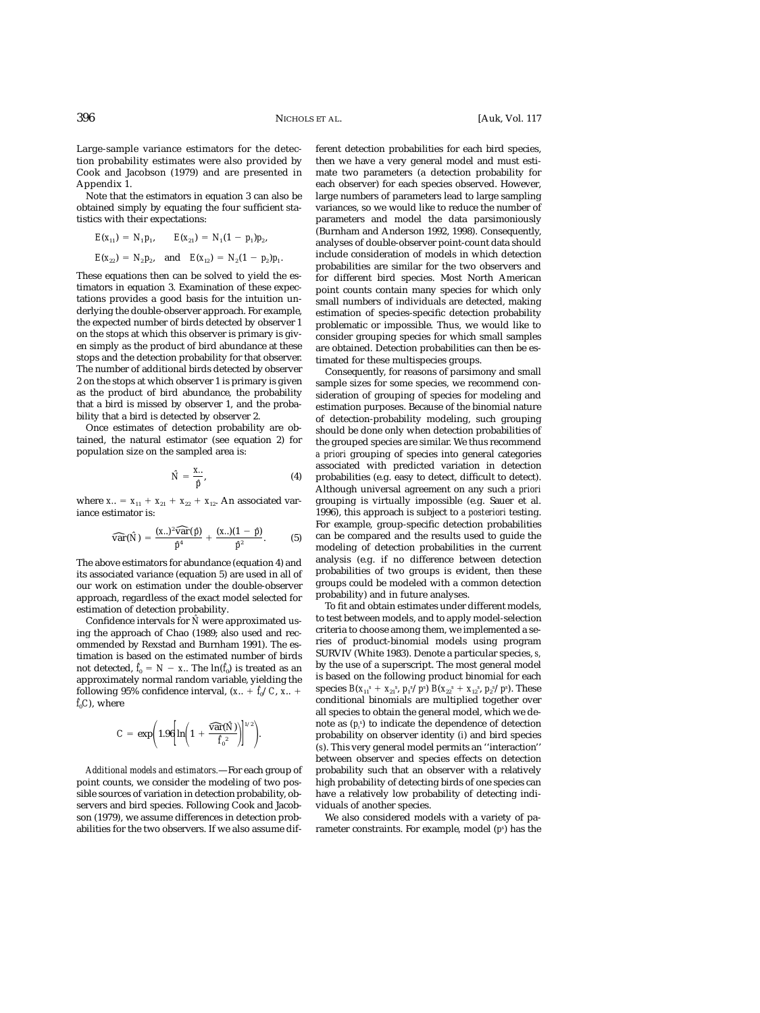Large-sample variance estimators for the detection probability estimates were also provided by Cook and Jacobson (1979) and are presented in Appendix 1.

Note that the estimators in equation 3 can also be obtained simply by equating the four sufficient statistics with their expectations:

$$
E(x_{11}) = N_1 p_1, \qquad E(x_{21}) = N_1 (1 - p_1) p_2,
$$
  

$$
E(x_{22}) = N_2 p_2, \quad \text{and} \quad E(x_{12}) = N_2 (1 - p_2) p_1.
$$

These equations then can be solved to yield the estimators in equation 3. Examination of these expectations provides a good basis for the intuition underlying the double-observer approach. For example, the expected number of birds detected by observer 1 on the stops at which this observer is primary is given simply as the product of bird abundance at these stops and the detection probability for that observer. The number of additional birds detected by observer 2 on the stops at which observer 1 is primary is given as the product of bird abundance, the probability that a bird is missed by observer 1, and the probability that a bird is detected by observer 2.

Once estimates of detection probability are obtained, the natural estimator (see equation 2) for population size on the sampled area is:

$$
\hat{N} = \frac{x}{\hat{p}},\tag{4}
$$

where  $x_{..} = x_{11} + x_{21} + x_{22} + x_{12}$ . An associated variance estimator is:

$$
\widehat{\text{var}}(\hat{N}) = \frac{(x.)^2 \widehat{\text{var}}(\hat{p})}{\hat{p}^4} + \frac{(x.)(1-\hat{p})}{\hat{p}^2}.
$$
 (5)

The above estimators for abundance (equation 4) and its associated variance (equation 5) are used in all of our work on estimation under the double-observer approach, regardless of the exact model selected for estimation of detection probability.

Confidence intervals for *Nˆ* were approximated using the approach of Chao (1989; also used and recommended by Rexstad and Burnham 1991). The estimation is based on the estimated number of birds not detected,  $f_0 = N - x$ .. The  $\ln(f_0)$  is treated as an approximately normal random variable, yielding the following 95% confidence interval,  $(x_{\cdot\cdot} + \hat{f}_0/C, x_{\cdot\cdot} +$  $\hat{f}_oC$ , where

$$
C = \exp\bigg(1.96\bigg[\ln\bigg(1 + \frac{\widehat{\text{var}}(\hat{N})}{\hat{f}_0^2}\bigg)\bigg]^{1/2}\bigg).
$$

*Additional models and estimators.*—For each group of point counts, we consider the modeling of two possible sources of variation in detection probability, observers and bird species. Following Cook and Jacobson (1979), we assume differences in detection probabilities for the two observers. If we also assume different detection probabilities for each bird species, then we have a very general model and must estimate two parameters (a detection probability for each observer) for each species observed. However, large numbers of parameters lead to large sampling variances, so we would like to reduce the number of parameters and model the data parsimoniously (Burnham and Anderson 1992, 1998). Consequently, analyses of double-observer point-count data should include consideration of models in which detection probabilities are similar for the two observers and for different bird species. Most North American point counts contain many species for which only small numbers of individuals are detected, making estimation of species-specific detection probability problematic or impossible. Thus, we would like to consider grouping species for which small samples are obtained. Detection probabilities can then be estimated for these multispecies groups.

Consequently, for reasons of parsimony and small sample sizes for some species, we recommend consideration of grouping of species for modeling and estimation purposes. Because of the binomial nature of detection-probability modeling, such grouping should be done only when detection probabilities of the grouped species are similar. We thus recommend *a priori* grouping of species into general categories associated with predicted variation in detection probabilities (e.g. easy to detect, difficult to detect). Although universal agreement on any such *a priori* grouping is virtually impossible (e.g. Sauer et al. 1996), this approach is subject to *a posteriori* testing. For example, group-specific detection probabilities can be compared and the results used to guide the modeling of detection probabilities in the current analysis (e.g. if no difference between detection probabilities of two groups is evident, then these groups could be modeled with a common detection probability) and in future analyses.

To fit and obtain estimates under different models, to test between models, and to apply model-selection criteria to choose among them, we implemented a series of product-binomial models using program SURVIV (White 1983). Denote a particular species, *s,* by the use of a superscript. The most general model is based on the following product binomial for each species  $B(x_{11}^s + x_{21}^s, p_1^s/p^s) B(x_{22}^s + x_{12}^s, p_2^s/p^s)$ . These conditional binomials are multiplied together over all species to obtain the general model, which we denote as (*pi s* ) to indicate the dependence of detection probability on observer identity (*i*) and bird species (*s*). This very general model permits an ''interaction'' between observer and species effects on detection probability such that an observer with a relatively high probability of detecting birds of one species can have a relatively low probability of detecting individuals of another species.

We also considered models with a variety of parameter constraints. For example, model (*ps* ) has the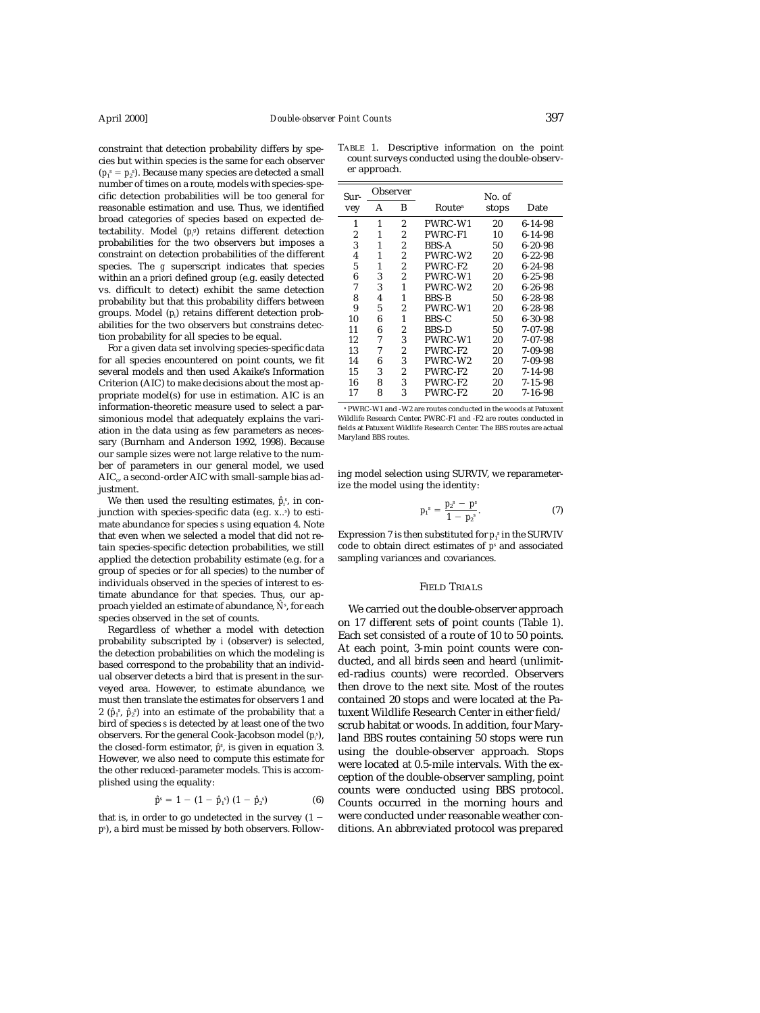constraint that detection probability differs by species but within species is the same for each observer  $(p_1^s = p_2^s)$ . Because many species are detected a small number of times on a route, models with species-specific detection probabilities will be too general for reasonable estimation and use. Thus, we identified broad categories of species based on expected detectability. Model (*pi g* ) retains different detection probabilities for the two observers but imposes a constraint on detection probabilities of the different species. The *g* superscript indicates that species within an *a priori* defined group (e.g. easily detected vs. difficult to detect) exhibit the same detection probability but that this probability differs between groups. Model (*pi* ) retains different detection probabilities for the two observers but constrains detection probability for all species to be equal.

For a given data set involving species-specific data for all species encountered on point counts, we fit several models and then used Akaike's Information Criterion (AIC) to make decisions about the most appropriate model(s) for use in estimation. AIC is an information-theoretic measure used to select a parsimonious model that adequately explains the variation in the data using as few parameters as necessary (Burnham and Anderson 1992, 1998). Because our sample sizes were not large relative to the number of parameters in our general model, we used  $AIC<sub>c</sub>$ , a second-order AIC with small-sample bias adjustment.

We then used the resulting estimates,  $\hat{p}_i^s$ , in conjunction with species-specific data (e.g. *x..s* ) to estimate abundance for species *s* using equation 4. Note that even when we selected a model that did not retain species-specific detection probabilities, we still applied the detection probability estimate (e.g. for a group of species or for all species) to the number of individuals observed in the species of interest to estimate abundance for that species. Thus, our approach yielded an estimate of abundance, *Nˆ <sup>s</sup>* , for each species observed in the set of counts.

Regardless of whether a model with detection probability subscripted by *i* (observer) is selected, the detection probabilities on which the modeling is based correspond to the probability that an individual observer detects a bird that is present in the surveyed area. However, to estimate abundance, we must then translate the estimates for observers 1 and  $2 \,\,(\hat{p}_{\scriptscriptstyle 1}{}^{\!\scriptscriptstyle S},\,\hat{p}_{\scriptscriptstyle 2}{}^{\!\scriptscriptstyle S})$  into an estimate of the probability that a bird of species *s* is detected by at least one of the two observers. For the general Cook-Jacobson model (*pi s* ), the closed-form estimator, *pˆs* , is given in equation 3. However, we also need to compute this estimate for the other reduced-parameter models. This is accomplished using the equality:

$$
\hat{p}^s = 1 - (1 - \hat{p}_1^s) (1 - \hat{p}_2^s) \tag{6}
$$

that is, in order to go undetected in the survey  $(1$ *ps* ), a bird must be missed by both observers. Follow-

TABLE 1. Descriptive information on the point count surveys conducted using the double-observer approach.

| Sur- |   | Observer       |                    | No. of |               |
|------|---|----------------|--------------------|--------|---------------|
| vey  | A | B              | Route <sup>a</sup> | stops  | Date          |
| 1    | 1 | $\overline{2}$ | PWRC-W1            | 20     | 6-14-98       |
| 2    | 1 | 2              | PWRC-F1            | 10     | 6-14-98       |
| 3    | 1 | $\overline{2}$ | <b>BBS-A</b>       | 50     | $6 - 20 - 98$ |
| 4    | 1 | 2              | PWRC-W2            | 20     | $6 - 22 - 98$ |
| 5    | 1 | 2              | PWRC-F2            | 20     | 6-24-98       |
| 6    | 3 | 2              | PWRC-W1            | 20     | 6-25-98       |
| 7    | 3 | 1              | PWRC-W2            | 20     | 6-26-98       |
| 8    | 4 | 1              | <b>BBS-B</b>       | 50     | $6 - 28 - 98$ |
| 9    | 5 | 2              | PWRC-W1            | 20     | $6 - 28 - 98$ |
| 10   | 6 | 1              | BBS-C              | 50     | $6 - 30 - 98$ |
| 11   | 6 | $\overline{c}$ | <b>BBS-D</b>       | 50     | $7 - 07 - 98$ |
| 12   | 7 | 3              | PWRC-W1            | 20     | $7 - 07 - 98$ |
| 13   | 7 | 2              | PWRC-F2            | 20     | 7-09-98       |
| 14   | 6 | 3              | PWRC-W2            | 20     | 7-09-98       |
| 15   | 3 | 2              | PWRC-F2            | 20     | $7 - 14 - 98$ |
| 16   | 8 | 3              | PWRC-F2            | 20     | 7-15-98       |
| 17   | 8 | 3              | PWRC-F2            | 20     | 7-16-98       |

<sup>a</sup> PWRC-W1 and -W2 are routes conducted in the woods at Patuxent Wildlife Research Center. PWRC-F1 and -F2 are routes conducted in fields at Patuxent Wildlife Research Center. The BBS routes are actual Maryland BBS routes.

ing model selection using SURVIV, we reparameterize the model using the identity:

$$
p_1^s = \frac{p_2^s - p^s}{1 - p_2^s}.
$$
 (7)

Expression 7 is then substituted for  $p_{\scriptscriptstyle 1}{}^{\!\circ}$  in the SURVIV code to obtain direct estimates of *ps* and associated sampling variances and covariances.

### FIELD TRIALS

We carried out the double-observer approach on 17 different sets of point counts (Table 1). Each set consisted of a route of 10 to 50 points. At each point, 3-min point counts were conducted, and all birds seen and heard (unlimited-radius counts) were recorded. Observers then drove to the next site. Most of the routes contained 20 stops and were located at the Patuxent Wildlife Research Center in either field/ scrub habitat or woods. In addition, four Maryland BBS routes containing 50 stops were run using the double-observer approach. Stops were located at 0.5-mile intervals. With the exception of the double-observer sampling, point counts were conducted using BBS protocol. Counts occurred in the morning hours and were conducted under reasonable weather conditions. An abbreviated protocol was prepared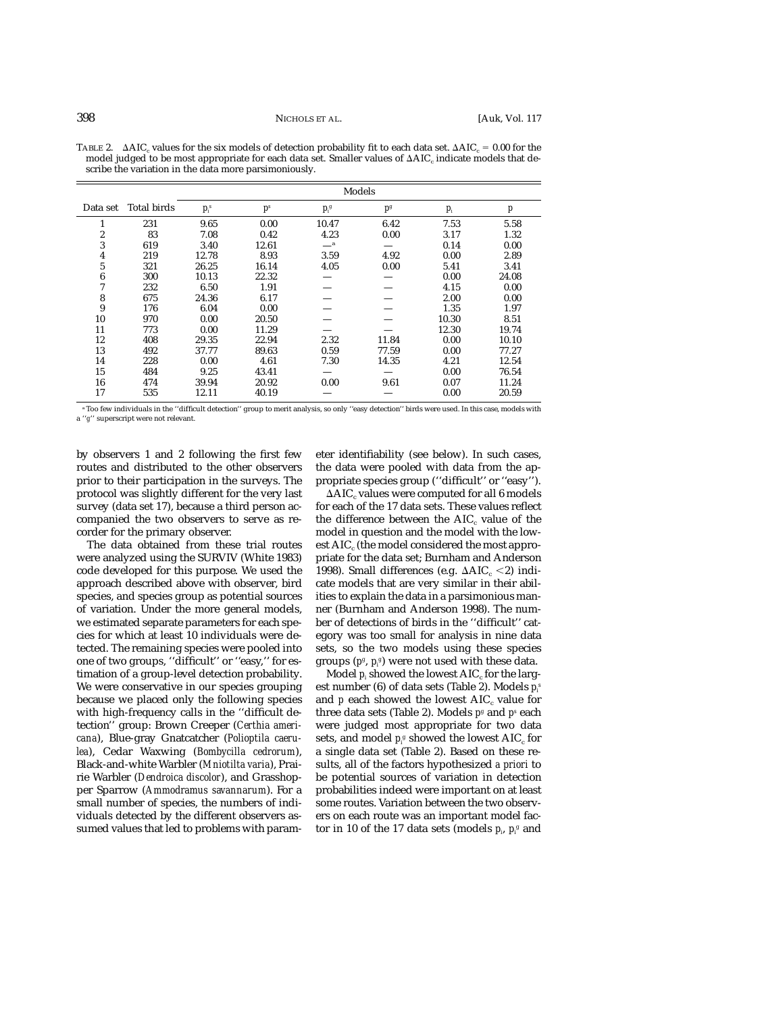|          |             | Models  |                |         |                |       |                  |  |  |
|----------|-------------|---------|----------------|---------|----------------|-------|------------------|--|--|
| Data set | Total birds | $p_i^s$ | p <sup>s</sup> | $p_f^g$ | p <sup>g</sup> | $p_i$ | $\boldsymbol{p}$ |  |  |
| 1        | 231         | 9.65    | 0.00           | 10.47   | 6.42           | 7.53  | 5.58             |  |  |
| 2        | 83          | 7.08    | 0.42           | 4.23    | 0.00           | 3.17  | 1.32             |  |  |
| 3        | 619         | 3.40    | 12.61          | $\_\_a$ |                | 0.14  | 0.00             |  |  |
| 4        | 219         | 12.78   | 8.93           | 3.59    | 4.92           | 0.00  | 2.89             |  |  |
| 5        | 321         | 26.25   | 16.14          | 4.05    | 0.00           | 5.41  | 3.41             |  |  |
| 6        | 300         | 10.13   | 22.32          |         |                | 0.00  | 24.08            |  |  |
| 7        | 232         | 6.50    | 1.91           |         |                | 4.15  | 0.00             |  |  |
| 8        | 675         | 24.36   | 6.17           |         |                | 2.00  | 0.00             |  |  |
| 9        | 176         | 6.04    | 0.00           |         |                | 1.35  | 1.97             |  |  |
| 10       | 970         | 0.00    | 20.50          |         |                | 10.30 | 8.51             |  |  |
| 11       | 773         | 0.00    | 11.29          |         |                | 12.30 | 19.74            |  |  |
| 12       | 408         | 29.35   | 22.94          | 2.32    | 11.84          | 0.00  | 10.10            |  |  |
| 13       | 492         | 37.77   | 89.63          | 0.59    | 77.59          | 0.00  | 77.27            |  |  |
| 14       | 228         | 0.00    | 4.61           | 7.30    | 14.35          | 4.21  | 12.54            |  |  |
| 15       | 484         | 9.25    | 43.41          |         |                | 0.00  | 76.54            |  |  |
| 16       | 474         | 39.94   | 20.92          | 0.00    | 9.61           | 0.07  | 11.24            |  |  |
| 17       | 535         | 12.11   | 40.19          |         |                | 0.00  | 20.59            |  |  |

TABLE 2.  $\;\;\Delta {\rm AIC}_\text{c}$  values for the six models of detection probability fit to each data set.  $\Delta {\rm AIC}_\text{c} = 0.00$  for the model judged to be most appropriate for each data set. Smaller values of  $\Delta AIC_c$  indicate models that describe the variation in the data more parsimoniously.

<sup>a</sup> Too few individuals in the ''difficult detection'' group to merit analysis, so only ''easy detection'' birds were used. In this case, models with a ''*g*'' superscript were not relevant.

by observers 1 and 2 following the first few routes and distributed to the other observers prior to their participation in the surveys. The protocol was slightly different for the very last survey (data set 17), because a third person accompanied the two observers to serve as recorder for the primary observer.

The data obtained from these trial routes were analyzed using the SURVIV (White 1983) code developed for this purpose. We used the approach described above with observer, bird species, and species group as potential sources of variation. Under the more general models, we estimated separate parameters for each species for which at least 10 individuals were detected. The remaining species were pooled into one of two groups, ''difficult'' or ''easy,'' for estimation of a group-level detection probability. We were conservative in our species grouping because we placed only the following species with high-frequency calls in the ''difficult detection'' group: Brown Creeper (*Certhia americana*), Blue-gray Gnatcatcher (*Polioptila caerulea*), Cedar Waxwing (*Bombycilla cedrorum*), Black-and-white Warbler (*Mniotilta varia*), Prairie Warbler (*Dendroica discolor*), and Grasshopper Sparrow (*Ammodramus savannarum*). For a small number of species, the numbers of individuals detected by the different observers assumed values that led to problems with parameter identifiability (see below). In such cases, the data were pooled with data from the appropriate species group (''difficult'' or ''easy'').

 $\Delta AIC_c$  values were computed for all 6 models for each of the 17 data sets. These values reflect the difference between the  $AIC_c$  value of the model in question and the model with the lowest  $AIC_c$  (the model considered the most appropriate for the data set; Burnham and Anderson 1998). Small differences (e.g.  $\Delta AIC_c \leq 2$ ) indicate models that are very similar in their abilities to explain the data in a parsimonious manner (Burnham and Anderson 1998). The number of detections of birds in the ''difficult'' category was too small for analysis in nine data sets, so the two models using these species groups (*pg* , *pi g* ) were not used with these data.

Model  $p_i$  showed the lowest  $AIC_c$  for the largest number (6) of data sets (Table 2). Models *pi s* and  $p$  each showed the lowest  $AIC_c$  value for three data sets (Table 2). Models *pg* and *ps* each were judged most appropriate for two data sets, and model  $p_{\scriptscriptstyle \beta}^{\scriptscriptstyle g}$  showed the lowest AIC<sub>c</sub> for a single data set (Table 2). Based on these results, all of the factors hypothesized *a priori* to be potential sources of variation in detection probabilities indeed were important on at least some routes. Variation between the two observers on each route was an important model factor in 10 of the 17 data sets (models  $p_{\scriptscriptstyle \hat{p}}$  ,  $p_{\scriptscriptstyle \hat{r}}$  and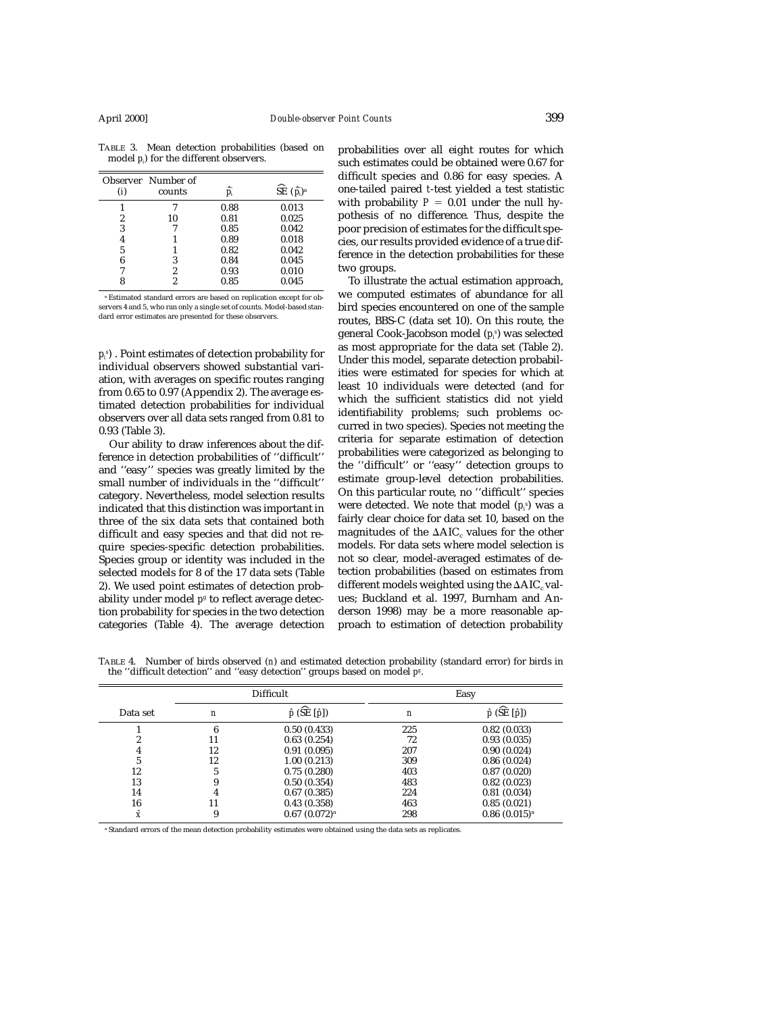| (i) | Observer Number of<br>counts |      | $\widehat{\text{SE}}$ $(\hat{\bar{p}}_i)^\text{a}$ |
|-----|------------------------------|------|----------------------------------------------------|
|     |                              | 0.88 | 0.013                                              |
| 2   | 10                           | 0.81 | 0.025                                              |
| 3   |                              | 0.85 | 0.042                                              |
| 4   |                              | 0.89 | 0.018                                              |
| 5   |                              | 0.82 | 0.042                                              |
| 6   | 3                            | 0.84 | 0.045                                              |
|     | 2                            | 0.93 | 0.010                                              |
|     | 2                            | 0.85 | 0.045                                              |

TABLE 3. Mean detection probabilities (based on model *pi* ) for the different observers.

<sup>a</sup> Estimated standard errors are based on replication except for observers 4 and 5, who ran only a single set of counts. Model-based standard error estimates are presented for these observers.

*pi s* ) . Point estimates of detection probability for individual observers showed substantial variation, with averages on specific routes ranging from 0.65 to 0.97 (Appendix 2). The average estimated detection probabilities for individual observers over all data sets ranged from 0.81 to 0.93 (Table 3).

Our ability to draw inferences about the difference in detection probabilities of ''difficult'' and ''easy'' species was greatly limited by the small number of individuals in the ''difficult'' category. Nevertheless, model selection results indicated that this distinction was important in three of the six data sets that contained both difficult and easy species and that did not require species-specific detection probabilities. Species group or identity was included in the selected models for 8 of the 17 data sets (Table 2). We used point estimates of detection probability under model  $p<sup>g</sup>$  to reflect average detection probability for species in the two detection categories (Table 4). The average detection probabilities over all eight routes for which such estimates could be obtained were 0.67 for difficult species and 0.86 for easy species. A one-tailed paired *t*-test yielded a test statistic with probability  $P = 0.01$  under the null hypothesis of no difference. Thus, despite the poor precision of estimates for the difficult species, our results provided evidence of a true difference in the detection probabilities for these two groups.

To illustrate the actual estimation approach, we computed estimates of abundance for all bird species encountered on one of the sample routes, BBS-C (data set 10). On this route, the general Cook-Jacobson model (*pi s* ) was selected as most appropriate for the data set (Table 2). Under this model, separate detection probabilities were estimated for species for which at least 10 individuals were detected (and for which the sufficient statistics did not yield identifiability problems; such problems occurred in two species). Species not meeting the criteria for separate estimation of detection probabilities were categorized as belonging to the ''difficult'' or ''easy'' detection groups to estimate group-level detection probabilities. On this particular route, no ''difficult'' species were detected. We note that model (*pi s* ) was a fairly clear choice for data set 10, based on the magnitudes of the  $\Delta AIC_c$  values for the other models. For data sets where model selection is not so clear, model-averaged estimates of detection probabilities (based on estimates from different models weighted using the  $\Delta AIC_c$  values; Buckland et al. 1997, Burnham and Anderson 1998) may be a more reasonable approach to estimation of detection probability

TABLE 4. Number of birds observed (*n*) and estimated detection probability (standard error) for birds in the ''difficult detection'' and ''easy detection'' groups based on model *pg* .

|           | Difficult        |                             | Easy |                            |  |
|-----------|------------------|-----------------------------|------|----------------------------|--|
| Data set  | $\boldsymbol{n}$ | $\hat{p}$ (SE $[\hat{p}]$ ) | n    | $\hat{p}$ (SE $[\hat{p}])$ |  |
|           | 6                | 0.50(0.433)                 | 225  | 0.82(0.033)                |  |
|           | 11               | 0.63(0.254)                 | 72   | 0.93(0.035)                |  |
| 4         | 12               | 0.91(0.095)                 | 207  | 0.90(0.024)                |  |
|           | 12               | 1.00(0.213)                 | 309  | 0.86(0.024)                |  |
| 12        | 5                | 0.75(0.280)                 | 403  | 0.87(0.020)                |  |
| 13        | 9                | 0.50(0.354)                 | 483  | 0.82(0.023)                |  |
| 14        | 4                | 0.67(0.385)                 | 224  | 0.81(0.034)                |  |
| 16        | 11               | 0.43(0.358)                 | 463  | 0.85(0.021)                |  |
| $\bar{X}$ | 9                | 0.67(0.072) <sup>a</sup>    | 298  | 0.86(0.015) <sup>a</sup>   |  |

<sup>a</sup> Standard errors of the mean detection probability estimates were obtained using the data sets as replicates.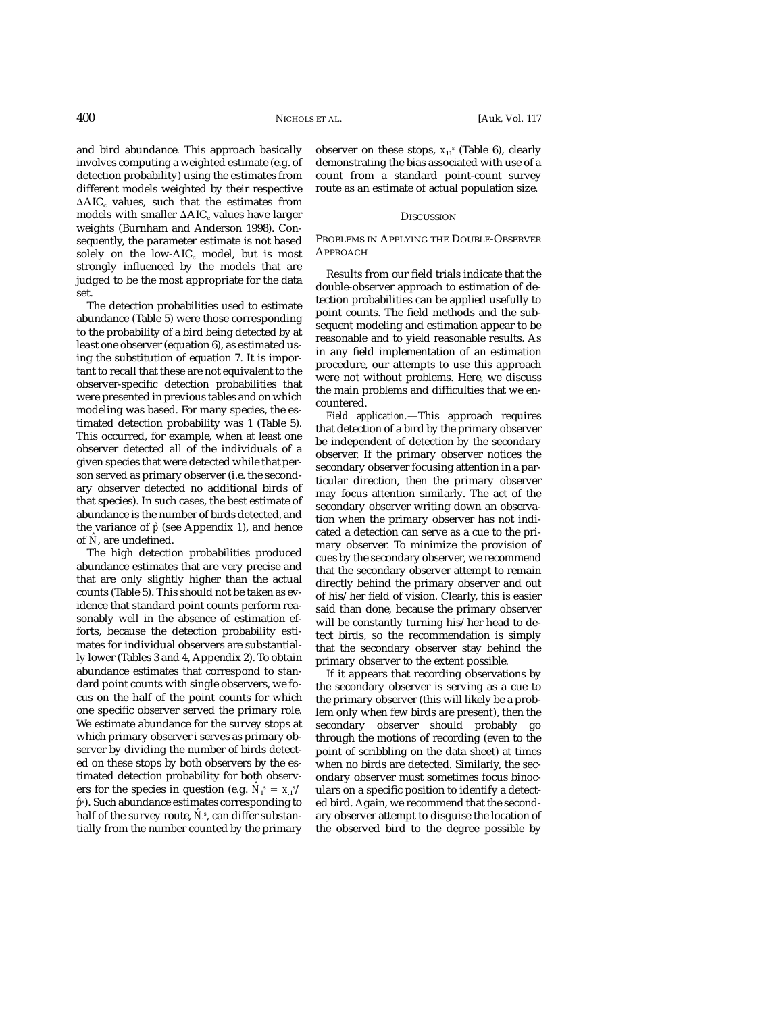and bird abundance. This approach basically involves computing a weighted estimate (e.g. of detection probability) using the estimates from different models weighted by their respective  $\Delta AIC_c$  values, such that the estimates from models with smaller  $\Delta AIC_c$  values have larger weights (Burnham and Anderson 1998). Consequently, the parameter estimate is not based solely on the low-AIC $_{c}$  model, but is most strongly influenced by the models that are judged to be the most appropriate for the data set.

The detection probabilities used to estimate abundance (Table 5) were those corresponding to the probability of a bird being detected by at least one observer (equation 6), as estimated using the substitution of equation 7. It is important to recall that these are not equivalent to the observer-specific detection probabilities that were presented in previous tables and on which modeling was based. For many species, the estimated detection probability was 1 (Table 5). This occurred, for example, when at least one observer detected all of the individuals of a given species that were detected while that person served as primary observer (i.e. the secondary observer detected no additional birds of that species). In such cases, the best estimate of abundance is the number of birds detected, and the variance of *pˆ* (see Appendix 1), and hence of *Nˆ* , are undefined.

The high detection probabilities produced abundance estimates that are very precise and that are only slightly higher than the actual counts (Table 5). This should not be taken as evidence that standard point counts perform reasonably well in the absence of estimation efforts, because the detection probability estimates for individual observers are substantially lower (Tables 3 and 4, Appendix 2). To obtain abundance estimates that correspond to standard point counts with single observers, we focus on the half of the point counts for which one specific observer served the primary role. We estimate abundance for the survey stops at which primary observer *i* serves as primary observer by dividing the number of birds detected on these stops by both observers by the estimated detection probability for both observers for the species in question (e.g.  $\hat{N}_1^s = x_1^{s/2}$ *pˆs* ). Such abundance estimates corresponding to half of the survey route,  $\hat{N}_{\pmb{i}}^s$ , can differ substantially from the number counted by the primary

observer on these stops,  $x_{11}$ <sup>s</sup> (Table 6), clearly demonstrating the bias associated with use of a count from a standard point-count survey route as an estimate of actual population size.

## **DISCUSSION**

## PROBLEMS IN APPLYING THE DOUBLE-OBSERVER APPROACH

Results from our field trials indicate that the double-observer approach to estimation of detection probabilities can be applied usefully to point counts. The field methods and the subsequent modeling and estimation appear to be reasonable and to yield reasonable results. As in any field implementation of an estimation procedure, our attempts to use this approach were not without problems. Here, we discuss the main problems and difficulties that we encountered.

*Field application.*—This approach requires that detection of a bird by the primary observer be independent of detection by the secondary observer. If the primary observer notices the secondary observer focusing attention in a particular direction, then the primary observer may focus attention similarly. The act of the secondary observer writing down an observation when the primary observer has not indicated a detection can serve as a cue to the primary observer. To minimize the provision of cues by the secondary observer, we recommend that the secondary observer attempt to remain directly behind the primary observer and out of his/her field of vision. Clearly, this is easier said than done, because the primary observer will be constantly turning his/her head to detect birds, so the recommendation is simply that the secondary observer stay behind the primary observer to the extent possible.

If it appears that recording observations by the secondary observer is serving as a cue to the primary observer (this will likely be a problem only when few birds are present), then the secondary observer should probably go through the motions of recording (even to the point of scribbling on the data sheet) at times when no birds are detected. Similarly, the secondary observer must sometimes focus binoculars on a specific position to identify a detected bird. Again, we recommend that the secondary observer attempt to disguise the location of the observed bird to the degree possible by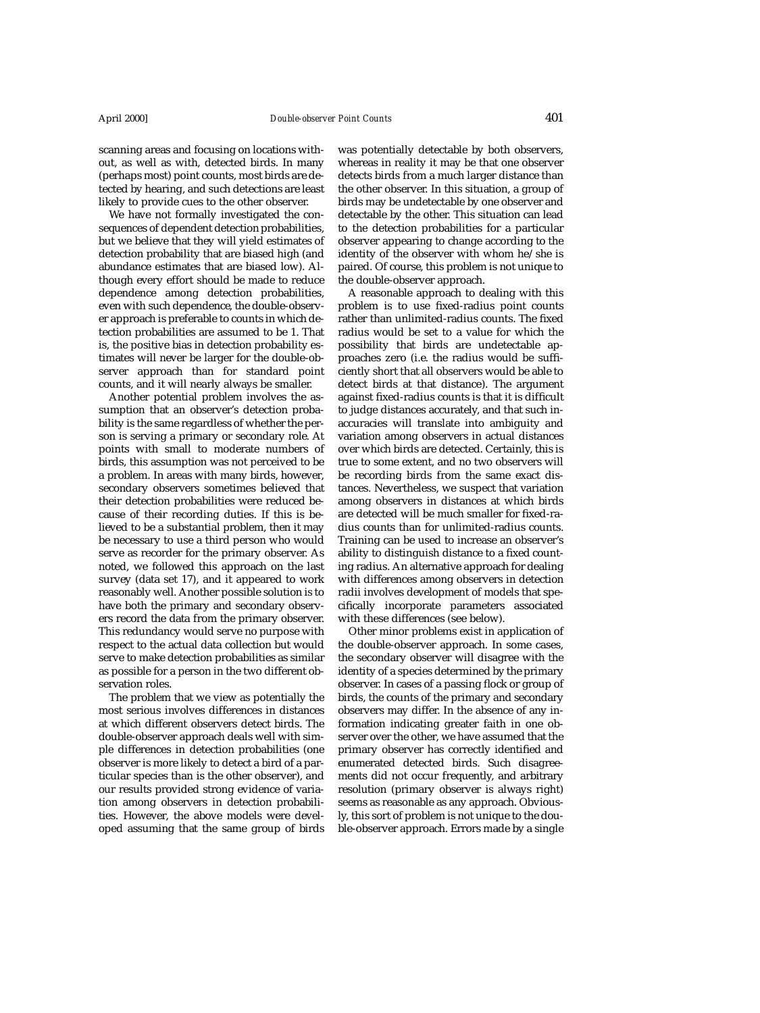scanning areas and focusing on locations without, as well as with, detected birds. In many (perhaps most) point counts, most birds are detected by hearing, and such detections are least likely to provide cues to the other observer.

We have not formally investigated the consequences of dependent detection probabilities, but we believe that they will yield estimates of detection probability that are biased high (and abundance estimates that are biased low). Although every effort should be made to reduce dependence among detection probabilities, even with such dependence, the double-observer approach is preferable to counts in which detection probabilities are assumed to be 1. That is, the positive bias in detection probability estimates will never be larger for the double-observer approach than for standard point counts, and it will nearly always be smaller.

Another potential problem involves the assumption that an observer's detection probability is the same regardless of whether the person is serving a primary or secondary role. At points with small to moderate numbers of birds, this assumption was not perceived to be a problem. In areas with many birds, however, secondary observers sometimes believed that their detection probabilities were reduced because of their recording duties. If this is believed to be a substantial problem, then it may be necessary to use a third person who would serve as recorder for the primary observer. As noted, we followed this approach on the last survey (data set 17), and it appeared to work reasonably well. Another possible solution is to have both the primary and secondary observers record the data from the primary observer. This redundancy would serve no purpose with respect to the actual data collection but would serve to make detection probabilities as similar as possible for a person in the two different observation roles.

The problem that we view as potentially the most serious involves differences in distances at which different observers detect birds. The double-observer approach deals well with simple differences in detection probabilities (one observer is more likely to detect a bird of a particular species than is the other observer), and our results provided strong evidence of variation among observers in detection probabilities. However, the above models were developed assuming that the same group of birds was potentially detectable by both observers, whereas in reality it may be that one observer detects birds from a much larger distance than the other observer. In this situation, a group of birds may be undetectable by one observer and detectable by the other. This situation can lead to the detection probabilities for a particular observer appearing to change according to the identity of the observer with whom he/she is paired. Of course, this problem is not unique to the double-observer approach.

A reasonable approach to dealing with this problem is to use fixed-radius point counts rather than unlimited-radius counts. The fixed radius would be set to a value for which the possibility that birds are undetectable approaches zero (i.e. the radius would be sufficiently short that all observers would be able to detect birds at that distance). The argument against fixed-radius counts is that it is difficult to judge distances accurately, and that such inaccuracies will translate into ambiguity and variation among observers in actual distances over which birds are detected. Certainly, this is true to some extent, and no two observers will be recording birds from the same exact distances. Nevertheless, we suspect that variation among observers in distances at which birds are detected will be much smaller for fixed-radius counts than for unlimited-radius counts. Training can be used to increase an observer's ability to distinguish distance to a fixed counting radius. An alternative approach for dealing with differences among observers in detection radii involves development of models that specifically incorporate parameters associated with these differences (see below).

Other minor problems exist in application of the double-observer approach. In some cases, the secondary observer will disagree with the identity of a species determined by the primary observer. In cases of a passing flock or group of birds, the counts of the primary and secondary observers may differ. In the absence of any information indicating greater faith in one observer over the other, we have assumed that the primary observer has correctly identified and enumerated detected birds. Such disagreements did not occur frequently, and arbitrary resolution (primary observer is always right) seems as reasonable as any approach. Obviously, this sort of problem is not unique to the double-observer approach. Errors made by a single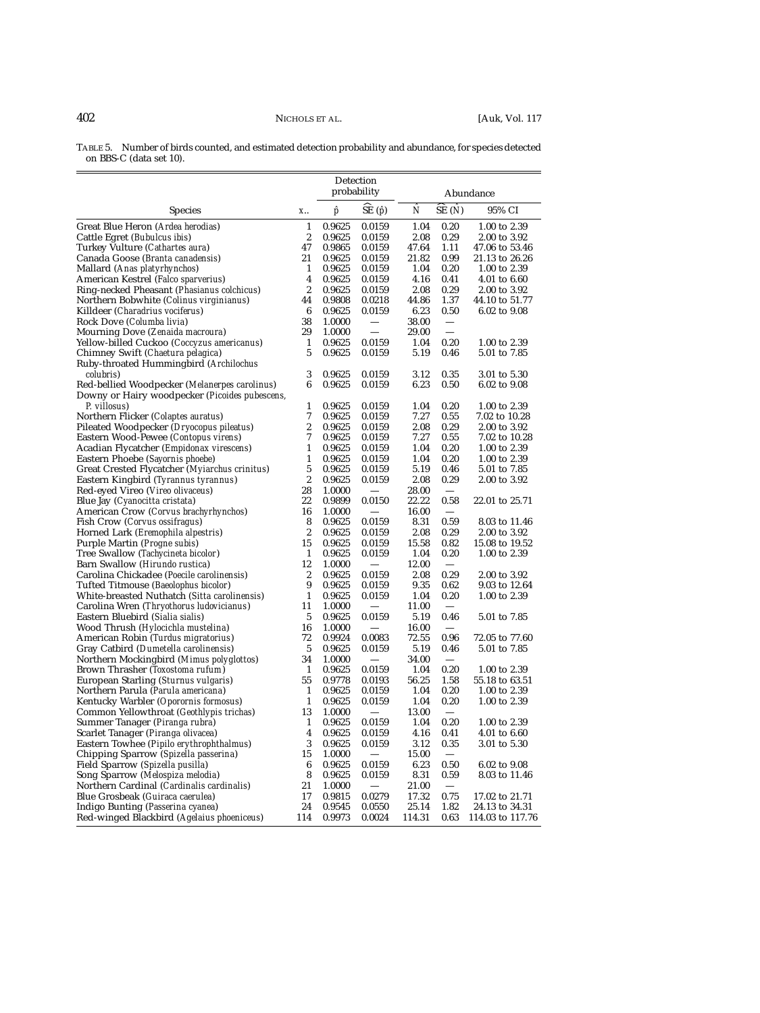TABLE 5. Number of birds counted, and estimated detection probability and abundance, for species detected on BBS-C (data set 10).

|                                                                                            |                  | Detection<br>probability |                                | Abundance    |                                      |                               |
|--------------------------------------------------------------------------------------------|------------------|--------------------------|--------------------------------|--------------|--------------------------------------|-------------------------------|
| <b>Species</b>                                                                             | X                | p                        | $\widehat{\text{SE}}(\hat{p})$ | Ñ            | $\overline{\text{SE}}$ ( $\hat{N}$ ) | 95% CI                        |
| Great Blue Heron (Ardea herodias)                                                          | $\mathbf{1}$     | 0.9625                   | 0.0159                         | 1.04         | 0.20                                 | 1.00 to 2.39                  |
| Cattle Egret ( <i>Bubulcus ibis</i> )                                                      | 2                | 0.9625                   | 0.0159                         | 2.08         | 0.29                                 | 2.00 to 3.92                  |
| Turkey Vulture (Cathartes aura)                                                            | 47               | 0.9865                   | 0.0159                         | 47.64        | 1.11                                 | 47.06 to 53.46                |
| Canada Goose (Branta canadensis)                                                           | 21               | 0.9625                   | 0.0159                         | 21.82        | 0.99                                 | 21.13 to 26.26                |
| Mallard (Anas platyrhynchos)                                                               | 1                | 0.9625                   | 0.0159                         | 1.04         | 0.20                                 | 1.00 to 2.39                  |
| American Kestrel (Falco sparverius)                                                        | 4                | 0.9625                   | 0.0159                         | 4.16         | 0.41                                 | 4.01 to 6.60                  |
| Ring-necked Pheasant (Phasianus colchicus)                                                 | 2                | 0.9625                   | 0.0159                         | 2.08         | 0.29                                 | 2.00 to 3.92                  |
| Northern Bobwhite (Colinus virginianus)                                                    | 44               | 0.9808                   | 0.0218                         | 44.86        | 1.37                                 | 44.10 to 51.77                |
| Killdeer (Charadrius vociferus)                                                            | 6                | 0.9625                   | 0.0159                         | 6.23         | 0.50                                 | 6.02 to 9.08                  |
| Rock Dove (Columba livia)                                                                  | 38               | 1.0000                   | $\equiv$                       | 38.00        | $\frac{1}{\sqrt{1-\frac{1}{2}}}$     |                               |
| Mourning Dove (Zenaida macroura)                                                           | 29               | 1.0000                   |                                | 29.00        |                                      |                               |
| Yellow-billed Cuckoo (Coccyzus americanus)                                                 | $\mathbf{1}$     | 0.9625                   | 0.0159                         | 1.04         | 0.20                                 | 1.00 to 2.39                  |
| Chimney Swift (Chaetura pelagica)                                                          | 5                | 0.9625                   | 0.0159                         | 5.19         | 0.46                                 | 5.01 to 7.85                  |
| Ruby-throated Hummingbird (Archilochus                                                     |                  |                          |                                |              |                                      |                               |
| <i>colubris</i> )                                                                          | 3                | 0.9625                   | 0.0159                         | 3.12         | 0.35                                 | 3.01 to 5.30                  |
| Red-bellied Woodpecker (Melanerpes carolinus)                                              | 6                | 0.9625                   | 0.0159                         | 6.23         | 0.50                                 | 6.02 to 9.08                  |
| Downy or Hairy woodpecker (Picoides pubescens,                                             |                  |                          |                                |              |                                      |                               |
| P. villosus)                                                                               | 1                | 0.9625                   | 0.0159                         | 1.04         | 0.20                                 | 1.00 to 2.39                  |
| Northern Flicker (Colaptes auratus)                                                        | 7                | 0.9625                   | 0.0159                         | 7.27         | 0.55                                 | 7.02 to 10.28                 |
| Pileated Woodpecker (Dryocopus pileatus)                                                   | 2                | 0.9625                   | 0.0159                         | 2.08         | 0.29                                 | 2.00 to 3.92                  |
| Eastern Wood-Pewee (Contopus virens)                                                       | 7                | 0.9625                   | 0.0159                         | 7.27         | 0.55                                 | 7.02 to 10.28                 |
| Acadian Flycatcher (Empidonax virescens)                                                   | 1                | 0.9625                   | 0.0159                         | 1.04         | 0.20                                 | 1.00 to 2.39                  |
| Eastern Phoebe (Sayornis phoebe)                                                           | 1                | 0.9625                   | 0.0159                         | 1.04         | 0.20                                 | 1.00 to 2.39                  |
| Great Crested Flycatcher (Myiarchus crinitus)                                              | 5                | 0.9625                   | 0.0159                         | 5.19         | 0.46                                 | 5.01 to 7.85                  |
| Eastern Kingbird (Tyrannus tyrannus)                                                       | $\boldsymbol{2}$ | 0.9625                   | 0.0159                         | 2.08         | 0.29                                 | 2.00 to 3.92                  |
| Red-eyed Vireo (Vireo olivaceus)                                                           | 28               | 1.0000                   |                                | 28.00        |                                      |                               |
| Blue Jay (Cyanocitta cristata)                                                             | 22               | 0.9899                   | 0.0150                         | 22.22        | 0.58                                 | 22.01 to 25.71                |
| American Crow (Corvus brachyrhynchos)                                                      | 16               | 1.0000                   |                                | 16.00        | $\overline{\phantom{m}}$             |                               |
| Fish Crow (Corvus ossifragus)                                                              | 8                | 0.9625                   | 0.0159                         | 8.31         | 0.59                                 | 8.03 to 11.46                 |
| Horned Lark (Eremophila alpestris)                                                         | $\boldsymbol{2}$ | 0.9625                   | 0.0159                         | 2.08         | 0.29                                 | 2.00 to 3.92                  |
| Purple Martin (Progne subis)                                                               | 15               | 0.9625                   | 0.0159                         | 15.58        | 0.82                                 | 15.08 to 19.52                |
| Tree Swallow (Tachycineta bicolor)                                                         | 1                | 0.9625                   | 0.0159                         | 1.04         | 0.20                                 | 1.00 to 2.39                  |
| Barn Swallow ( <i>Hirundo rustica</i> )                                                    | 12               | 1.0000                   |                                | 12.00        | 0.29                                 |                               |
| Carolina Chickadee ( <i>Poecile carolinensis</i> )<br>Tufted Titmouse (Baeolophus bicolor) | 2<br>9           | 0.9625<br>0.9625         | 0.0159                         | 2.08<br>9.35 | 0.62                                 | 2.00 to 3.92                  |
| White-breasted Nuthatch (Sitta carolinensis)                                               | $\mathbf{1}$     | 0.9625                   | 0.0159<br>0.0159               | 1.04         | 0.20                                 | 9.03 to 12.64<br>1.00 to 2.39 |
| Carolina Wren (Thryothorus ludovicianus)                                                   | 11               | 1.0000                   |                                | 11.00        |                                      |                               |
| Eastern Bluebird (Sialia sialis)                                                           | $\sqrt{5}$       | 0.9625                   | 0.0159                         | 5.19         | 0.46                                 | 5.01 to 7.85                  |
| Wood Thrush (Hylocichla mustelina)                                                         | 16               | 1.0000                   |                                | 16.00        |                                      |                               |
| American Robin (Turdus migratorius)                                                        | 72               | 0.9924                   | 0.0083                         | 72.55        | 0.96                                 | 72.05 to 77.60                |
| Gray Catbird (Dumetella carolinensis)                                                      | 5                | 0.9625                   | 0.0159                         | 5.19         | 0.46                                 | 5.01 to 7.85                  |
| Northern Mockingbird (Mimus polyglottos)                                                   | 34               | 1.0000                   | $\overbrace{\qquad \qquad }$   | 34.00        |                                      |                               |
| Brown Thrasher (Toxostoma rufum)                                                           | 1                | 0.9625                   | 0.0159                         | 1.04         | 0.20                                 | 1.00 to 2.39                  |
| European Starling (Sturnus vulgaris)                                                       | 55               | 0.9778                   | 0.0193                         | 56.25        | 1.58                                 | 55.18 to 63.51                |
| Northern Parula (Parula americana)                                                         | 1                | 0.9625                   | 0.0159                         | 1.04         | 0.20                                 | 1.00 to 2.39                  |
| Kentucky Warbler (Oporornis formosus)                                                      | $\mathbf{1}$     | 0.9625                   | 0.0159                         | 1.04         | 0.20                                 | 1.00 to 2.39                  |
| Common Yellowthroat (Geothlypis trichas)                                                   | 13               | 1.0000                   |                                | 13.00        |                                      |                               |
| Summer Tanager (Piranga rubra)                                                             | $\mathbf{1}$     | 0.9625                   | 0.0159                         | 1.04         | 0.20                                 | 1.00 to 2.39                  |
| Scarlet Tanager (Piranga olivacea)                                                         | 4                | 0.9625                   | 0.0159                         | 4.16         | 0.41                                 | 4.01 to 6.60                  |
| Eastern Towhee (Pipilo erythrophthalmus)                                                   | 3                | 0.9625                   | 0.0159                         | 3.12         | 0.35                                 | 3.01 to 5.30                  |
| Chipping Sparrow (Spizella passerina)                                                      | 15               | 1.0000                   |                                | 15.00        |                                      |                               |
| Field Sparrow (Spizella pusilla)                                                           | 6                | 0.9625                   | 0.0159                         | 6.23         | 0.50                                 | 6.02 to 9.08                  |
| Song Sparrow (Melospiza melodia)                                                           | 8                | 0.9625                   | 0.0159                         | 8.31         | 0.59                                 | 8.03 to 11.46                 |
| Northern Cardinal (Cardinalis cardinalis)                                                  | 21               | 1.0000                   |                                | 21.00        | $\overline{\phantom{m}}$             |                               |
| Blue Grosbeak (Guiraca caerulea)                                                           | 17               | 0.9815                   | 0.0279                         | 17.32        | 0.75                                 | 17.02 to 21.71                |
| Indigo Bunting (Passerina cyanea)                                                          | 24               | 0.9545                   | 0.0550                         | 25.14        | 1.82                                 | 24.13 to 34.31                |
| Red-winged Blackbird (Agelaius phoeniceus)                                                 | 114              | 0.9973                   | 0.0024                         | 114.31       | 0.63                                 | 114.03 to 117.76              |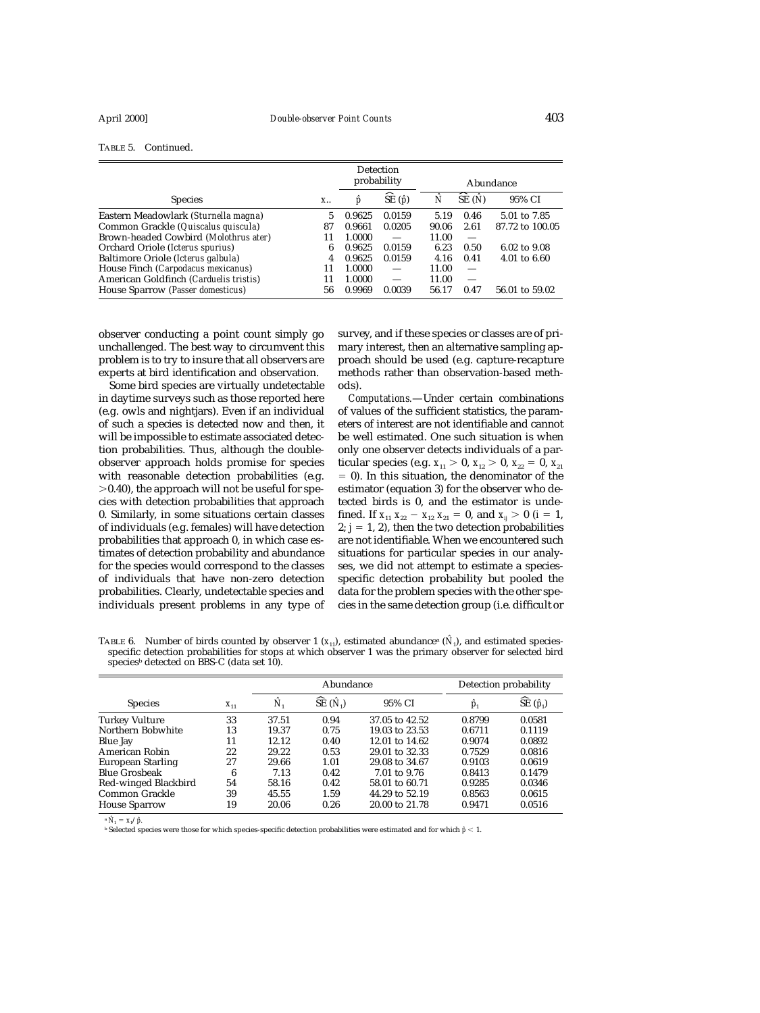| TABLE 5. | Continued. |
|----------|------------|
|----------|------------|

|                                            |    | <b>Detection</b><br>probability |                          |       | Abundance                |                         |  |
|--------------------------------------------|----|---------------------------------|--------------------------|-------|--------------------------|-------------------------|--|
| <b>Species</b>                             | X  | р                               | ∼<br>SE $(\hat{p})$      | Ñ     | SE(N)                    | 95% CI                  |  |
| Eastern Meadowlark (Sturnella magna)       | 5  | 0.9625                          | 0.0159                   | 5.19  | 0.46                     | 5.01 to 7.85            |  |
| Common Grackle (Quiscalus quiscula)        | 87 | 0.9661                          | 0.0205                   | 90.06 | 2.61                     | 87.72 to 100.05         |  |
| Brown-headed Cowbird (Molothrus ater)      | 11 | 1.0000                          | $\overline{\phantom{m}}$ | 11.00 | $\qquad \qquad$          |                         |  |
| Orchard Oriole ( <i>Icterus spurius</i> )  | 6  | 0.9625                          | 0.0159                   | 6.23  | 0.50                     | 6.02 to 9.08            |  |
| Baltimore Oriole (Icterus galbula)         | 4  | 0.9625                          | 0.0159                   | 4.16  | 0.41                     | $4.01 \text{ to } 6.60$ |  |
| House Finch (Carpodacus mexicanus)         | 11 | 1.0000                          |                          | 11.00 | $\overline{\phantom{m}}$ |                         |  |
| American Goldfinch (Carduelis tristis)     | 11 | 1.0000                          |                          | 11.00 | $\frac{1}{2}$            |                         |  |
| House Sparrow ( <i>Passer domesticus</i> ) | 56 | 0.9969                          | 0.0039                   | 56.17 | 0.47                     | 56.01 to 59.02          |  |

observer conducting a point count simply go unchallenged. The best way to circumvent this problem is to try to insure that all observers are experts at bird identification and observation.

Some bird species are virtually undetectable in daytime surveys such as those reported here (e.g. owls and nightjars). Even if an individual of such a species is detected now and then, it will be impossible to estimate associated detection probabilities. Thus, although the doubleobserver approach holds promise for species with reasonable detection probabilities (e.g.  $>0.40$ ), the approach will not be useful for species with detection probabilities that approach 0. Similarly, in some situations certain classes of individuals (e.g. females) will have detection probabilities that approach 0, in which case estimates of detection probability and abundance for the species would correspond to the classes of individuals that have non-zero detection probabilities. Clearly, undetectable species and individuals present problems in any type of survey, and if these species or classes are of primary interest, then an alternative sampling approach should be used (e.g. capture-recapture methods rather than observation-based methods).

*Computations.*—Under certain combinations of values of the sufficient statistics, the parameters of interest are not identifiable and cannot be well estimated. One such situation is when only one observer detects individuals of a particular species (e.g.  $x_{11} > 0$ ,  $x_{12} > 0$ ,  $x_{22} = 0$ ,  $x_{21}$ - 0). In this situation, the denominator of the estimator (equation 3) for the observer who detected birds is 0, and the estimator is undefined. If  $x_{11} x_{22} - x_{12} x_{21} = 0$ , and  $x_{ij} > 0$  (*i* = 1,  $2; j = 1, 2$ ), then the two detection probabilities are not identifiable. When we encountered such situations for particular species in our analyses, we did not attempt to estimate a speciesspecific detection probability but pooled the data for the problem species with the other species in the same detection group (i.e. difficult or

TABLE 6. Number of birds counted by observer 1  $(x_{11})$ , estimated abundance<sup>a</sup> ( $\hat{N}_1$ ), and estimated speciesspecific detection probabilities for stops at which observer 1 was the primary observer for selected bird species<sup>b</sup> detected on BBS-C (data set  $10$ ).

|                          |          | Abundance |                                  |                | Detection probability |                                  |
|--------------------------|----------|-----------|----------------------------------|----------------|-----------------------|----------------------------------|
| <b>Species</b>           | $X_{11}$ | N,        | $\widehat{\text{SE}}(\hat{N}_1)$ | 95% CI         | $\hat{p}_1$           | $\widehat{\text{SE}}(\hat{p}_1)$ |
| <b>Turkey Vulture</b>    | 33       | 37.51     | 0.94                             | 37.05 to 42.52 | 0.8799                | 0.0581                           |
| Northern Bobwhite        | 13       | 19.37     | 0.75                             | 19.03 to 23.53 | 0.6711                | 0.1119                           |
| Blue Jay                 | 11       | 12.12     | 0.40                             | 12.01 to 14.62 | 0.9074                | 0.0892                           |
| American Robin           | 22       | 29.22     | 0.53                             | 29.01 to 32.33 | 0.7529                | 0.0816                           |
| <b>European Starling</b> | 27       | 29.66     | 1.01                             | 29.08 to 34.67 | 0.9103                | 0.0619                           |
| <b>Blue Grosbeak</b>     | 6        | 7.13      | 0.42                             | 7.01 to 9.76   | 0.8413                | 0.1479                           |
| Red-winged Blackbird     | 54       | 58.16     | 0.42                             | 58.01 to 60.71 | 0.9285                | 0.0346                           |
| Common Grackle           | 39       | 45.55     | 1.59                             | 44.29 to 52.19 | 0.8563                | 0.0615                           |
| <b>House Sparrow</b>     | 19       | 20.06     | 0.26                             | 20.00 to 21.78 | 0.9471                | 0.0516                           |

 ${}^{\rm a} \hat{N}_{\rm i} = x_{\rm i}/\hat{p}$ .

<sup>b</sup> Selected species were those for which species-specific detection probabilities were estimated and for which *pˆ* 1.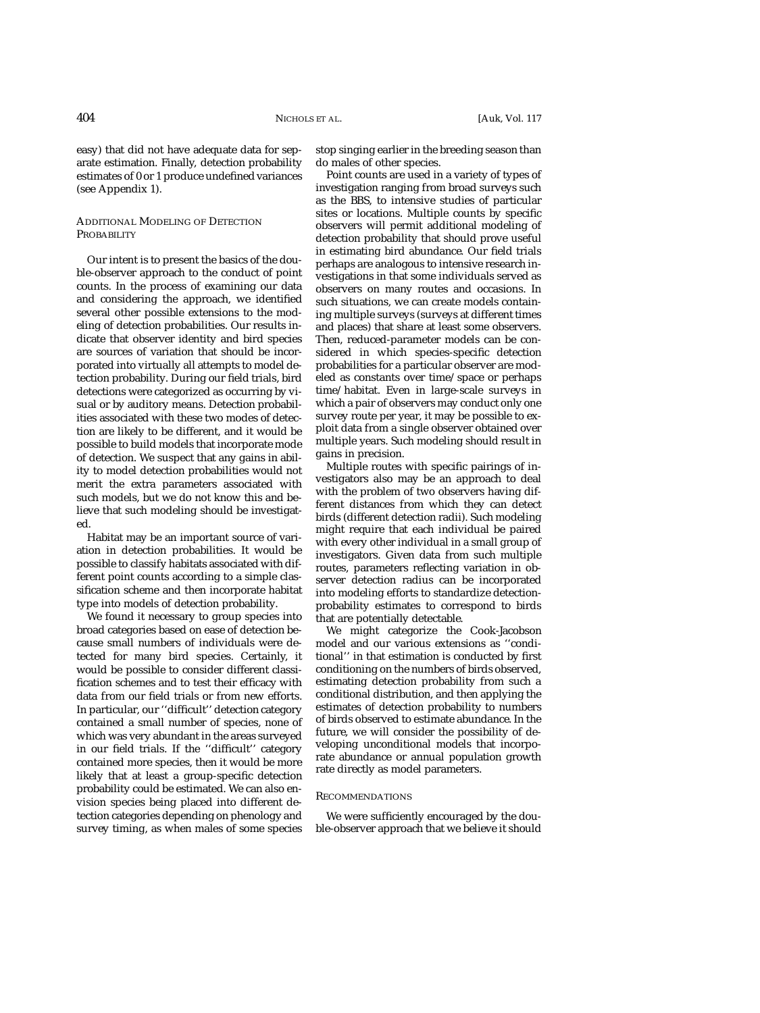easy) that did not have adequate data for separate estimation. Finally, detection probability estimates of 0 or 1 produce undefined variances (see Appendix 1).

# ADDITIONAL MODELING OF DETECTION PROBABILITY

Our intent is to present the basics of the double-observer approach to the conduct of point counts. In the process of examining our data and considering the approach, we identified several other possible extensions to the modeling of detection probabilities. Our results indicate that observer identity and bird species are sources of variation that should be incorporated into virtually all attempts to model detection probability. During our field trials, bird detections were categorized as occurring by visual or by auditory means. Detection probabilities associated with these two modes of detection are likely to be different, and it would be possible to build models that incorporate mode of detection. We suspect that any gains in ability to model detection probabilities would not merit the extra parameters associated with such models, but we do not know this and believe that such modeling should be investigated.

Habitat may be an important source of variation in detection probabilities. It would be possible to classify habitats associated with different point counts according to a simple classification scheme and then incorporate habitat type into models of detection probability.

We found it necessary to group species into broad categories based on ease of detection because small numbers of individuals were detected for many bird species. Certainly, it would be possible to consider different classification schemes and to test their efficacy with data from our field trials or from new efforts. In particular, our ''difficult'' detection category contained a small number of species, none of which was very abundant in the areas surveyed in our field trials. If the ''difficult'' category contained more species, then it would be more likely that at least a group-specific detection probability could be estimated. We can also envision species being placed into different detection categories depending on phenology and survey timing, as when males of some species

stop singing earlier in the breeding season than do males of other species.

Point counts are used in a variety of types of investigation ranging from broad surveys such as the BBS, to intensive studies of particular sites or locations. Multiple counts by specific observers will permit additional modeling of detection probability that should prove useful in estimating bird abundance. Our field trials perhaps are analogous to intensive research investigations in that some individuals served as observers on many routes and occasions. In such situations, we can create models containing multiple surveys (surveys at different times and places) that share at least some observers. Then, reduced-parameter models can be considered in which species-specific detection probabilities for a particular observer are modeled as constants over time/space or perhaps time/habitat. Even in large-scale surveys in which a pair of observers may conduct only one survey route per year, it may be possible to exploit data from a single observer obtained over multiple years. Such modeling should result in gains in precision.

Multiple routes with specific pairings of investigators also may be an approach to deal with the problem of two observers having different distances from which they can detect birds (different detection radii). Such modeling might require that each individual be paired with every other individual in a small group of investigators. Given data from such multiple routes, parameters reflecting variation in observer detection radius can be incorporated into modeling efforts to standardize detectionprobability estimates to correspond to birds that are potentially detectable.

We might categorize the Cook-Jacobson model and our various extensions as ''conditional'' in that estimation is conducted by first conditioning on the numbers of birds observed, estimating detection probability from such a conditional distribution, and then applying the estimates of detection probability to numbers of birds observed to estimate abundance. In the future, we will consider the possibility of developing unconditional models that incorporate abundance or annual population growth rate directly as model parameters.

### RECOMMENDATIONS

We were sufficiently encouraged by the double-observer approach that we believe it should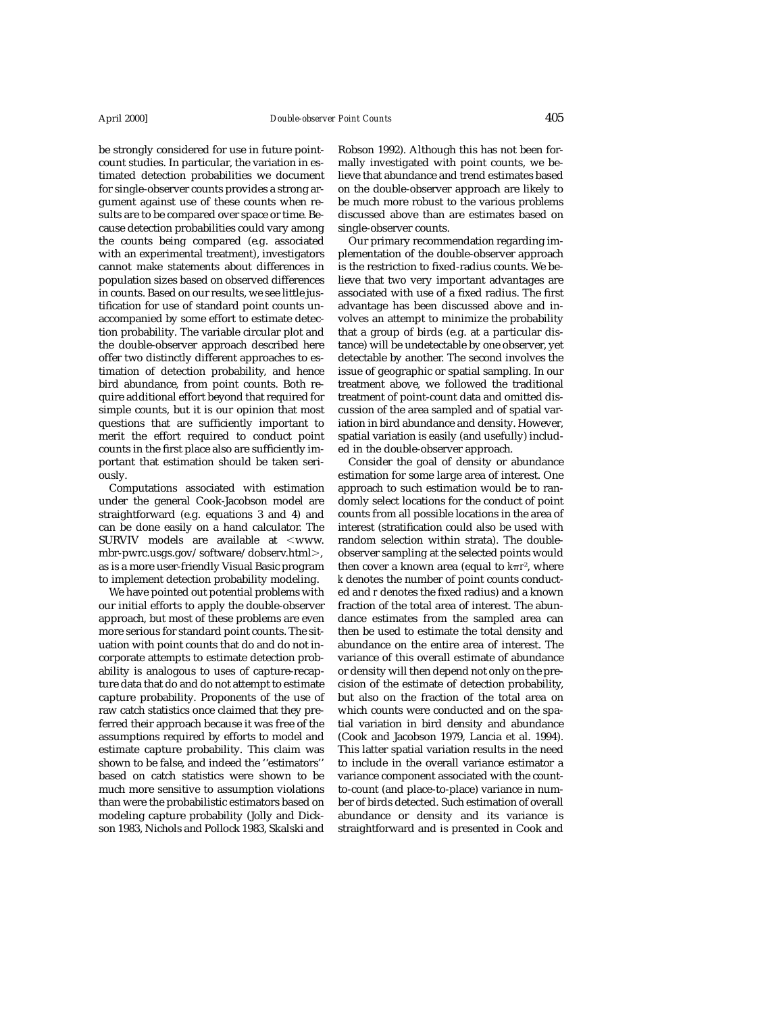be strongly considered for use in future pointcount studies. In particular, the variation in estimated detection probabilities we document for single-observer counts provides a strong argument against use of these counts when results are to be compared over space or time. Because detection probabilities could vary among the counts being compared (e.g. associated with an experimental treatment), investigators cannot make statements about differences in population sizes based on observed differences in counts. Based on our results, we see little justification for use of standard point counts unaccompanied by some effort to estimate detection probability. The variable circular plot and the double-observer approach described here offer two distinctly different approaches to estimation of detection probability, and hence bird abundance, from point counts. Both require additional effort beyond that required for simple counts, but it is our opinion that most questions that are sufficiently important to merit the effort required to conduct point counts in the first place also are sufficiently important that estimation should be taken seriously.

Computations associated with estimation under the general Cook-Jacobson model are straightforward (e.g. equations 3 and 4) and can be done easily on a hand calculator. The SURVIV models are available at  $\leq$ www. mbr-pwrc.usgs.gov/software/dobserv.html>, as is a more user-friendly Visual Basic program to implement detection probability modeling.

We have pointed out potential problems with our initial efforts to apply the double-observer approach, but most of these problems are even more serious for standard point counts. The situation with point counts that do and do not incorporate attempts to estimate detection probability is analogous to uses of capture-recapture data that do and do not attempt to estimate capture probability. Proponents of the use of raw catch statistics once claimed that they preferred their approach because it was free of the assumptions required by efforts to model and estimate capture probability. This claim was shown to be false, and indeed the ''estimators'' based on catch statistics were shown to be much more sensitive to assumption violations than were the probabilistic estimators based on modeling capture probability (Jolly and Dickson 1983, Nichols and Pollock 1983, Skalski and

Robson 1992). Although this has not been formally investigated with point counts, we believe that abundance and trend estimates based on the double-observer approach are likely to be much more robust to the various problems discussed above than are estimates based on single-observer counts.

Our primary recommendation regarding implementation of the double-observer approach is the restriction to fixed-radius counts. We believe that two very important advantages are associated with use of a fixed radius. The first advantage has been discussed above and involves an attempt to minimize the probability that a group of birds (e.g. at a particular distance) will be undetectable by one observer, yet detectable by another. The second involves the issue of geographic or spatial sampling. In our treatment above, we followed the traditional treatment of point-count data and omitted discussion of the area sampled and of spatial variation in bird abundance and density. However, spatial variation is easily (and usefully) included in the double-observer approach.

Consider the goal of density or abundance estimation for some large area of interest. One approach to such estimation would be to randomly select locations for the conduct of point counts from all possible locations in the area of interest (stratification could also be used with random selection within strata). The doubleobserver sampling at the selected points would then cover a known area (equal to *kπr*², where *k* denotes the number of point counts conducted and *r* denotes the fixed radius) and a known fraction of the total area of interest. The abundance estimates from the sampled area can then be used to estimate the total density and abundance on the entire area of interest. The variance of this overall estimate of abundance or density will then depend not only on the precision of the estimate of detection probability, but also on the fraction of the total area on which counts were conducted and on the spatial variation in bird density and abundance (Cook and Jacobson 1979, Lancia et al. 1994). This latter spatial variation results in the need to include in the overall variance estimator a variance component associated with the countto-count (and place-to-place) variance in number of birds detected. Such estimation of overall abundance or density and its variance is straightforward and is presented in Cook and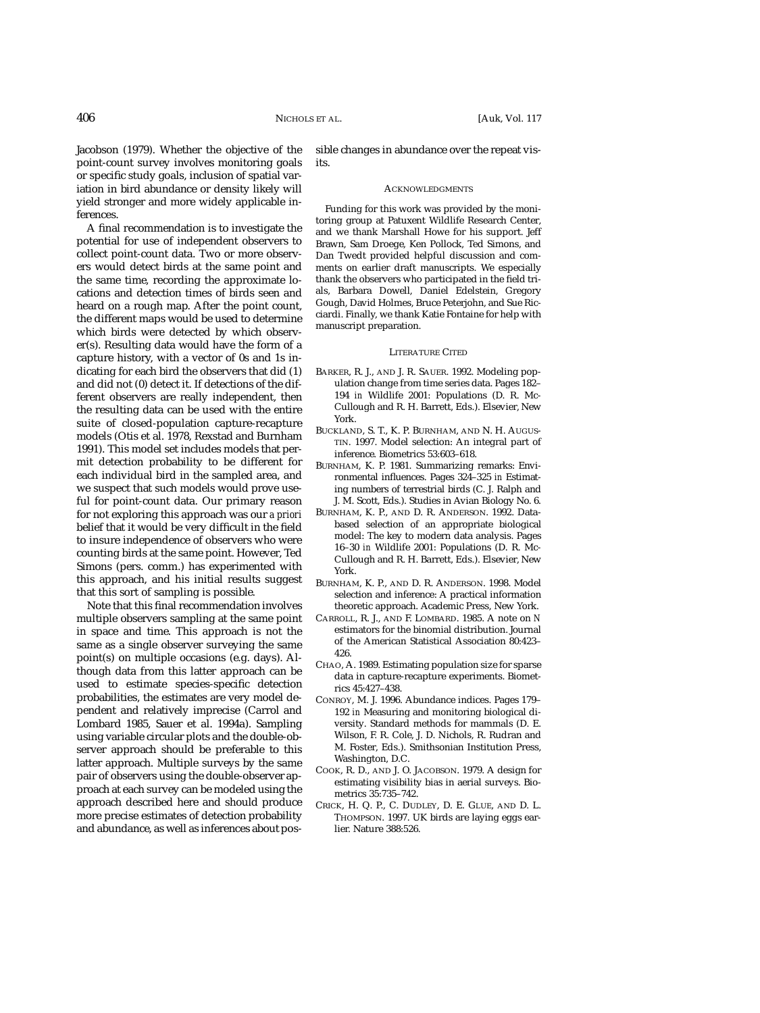Jacobson (1979). Whether the objective of the point-count survey involves monitoring goals or specific study goals, inclusion of spatial variation in bird abundance or density likely will yield stronger and more widely applicable inferences.

A final recommendation is to investigate the potential for use of independent observers to collect point-count data. Two or more observers would detect birds at the same point and the same time, recording the approximate locations and detection times of birds seen and heard on a rough map. After the point count, the different maps would be used to determine which birds were detected by which observer(s). Resulting data would have the form of a capture history, with a vector of 0s and 1s indicating for each bird the observers that did (1) and did not (0) detect it. If detections of the different observers are really independent, then the resulting data can be used with the entire suite of closed-population capture-recapture models (Otis et al. 1978, Rexstad and Burnham 1991). This model set includes models that permit detection probability to be different for each individual bird in the sampled area, and we suspect that such models would prove useful for point-count data. Our primary reason for not exploring this approach was our *a priori* belief that it would be very difficult in the field to insure independence of observers who were counting birds at the same point. However, Ted Simons (pers. comm.) has experimented with this approach, and his initial results suggest that this sort of sampling is possible.

Note that this final recommendation involves multiple observers sampling at the same point in space and time. This approach is not the same as a single observer surveying the same point(s) on multiple occasions (e.g. days). Although data from this latter approach can be used to estimate species-specific detection probabilities, the estimates are very model dependent and relatively imprecise (Carrol and Lombard 1985, Sauer et al. 1994a). Sampling using variable circular plots and the double-observer approach should be preferable to this latter approach. Multiple surveys by the same pair of observers using the double-observer approach at each survey can be modeled using the approach described here and should produce more precise estimates of detection probability and abundance, as well as inferences about possible changes in abundance over the repeat visits.

#### ACKNOWLEDGMENTS

Funding for this work was provided by the monitoring group at Patuxent Wildlife Research Center, and we thank Marshall Howe for his support. Jeff Brawn, Sam Droege, Ken Pollock, Ted Simons, and Dan Twedt provided helpful discussion and comments on earlier draft manuscripts. We especially thank the observers who participated in the field trials, Barbara Dowell, Daniel Edelstein, Gregory Gough, David Holmes, Bruce Peterjohn, and Sue Ricciardi. Finally, we thank Katie Fontaine for help with manuscript preparation.

#### LITERATURE CITED

- BARKER, R. J., AND J. R. SAUER. 1992. Modeling population change from time series data. Pages 182– 194 *in* Wildlife 2001: Populations (D. R. Mc-Cullough and R. H. Barrett, Eds.). Elsevier, New York.
- BUCKLAND, S. T., K. P. BURNHAM, AND N. H. AUGUS-TIN. 1997. Model selection: An integral part of inference. Biometrics 53:603–618.
- BURNHAM, K. P. 1981. Summarizing remarks: Environmental influences. Pages 324–325 *in* Estimating numbers of terrestrial birds (C. J. Ralph and J. M. Scott, Eds.). Studies in Avian Biology No. 6.
- BURNHAM, K. P., AND D. R. ANDERSON. 1992. Databased selection of an appropriate biological model: The key to modern data analysis. Pages 16–30 *in* Wildlife 2001: Populations (D. R. Mc-Cullough and R. H. Barrett, Eds.). Elsevier, New York.
- BURNHAM, K. P., AND D. R. ANDERSON. 1998. Model selection and inference: A practical information theoretic approach. Academic Press, New York.
- CARROLL, R. J., AND F. LOMBARD. 1985. A note on *N* estimators for the binomial distribution. Journal of the American Statistical Association 80:423– 426.
- CHAO, A. 1989. Estimating population size for sparse data in capture-recapture experiments. Biometrics 45:427–438.
- CONROY, M. J. 1996. Abundance indices. Pages 179– 192 *in* Measuring and monitoring biological diversity. Standard methods for mammals (D. E. Wilson, F. R. Cole, J. D. Nichols, R. Rudran and M. Foster, Eds.). Smithsonian Institution Press, Washington, D.C.
- COOK, R. D., AND J. O. JACOBSON. 1979. A design for estimating visibility bias in aerial surveys. Biometrics 35:735–742.
- CRICK, H. Q. P., C. DUDLEY, D. E. GLUE, AND D. L. THOMPSON. 1997. UK birds are laying eggs earlier. Nature 388:526.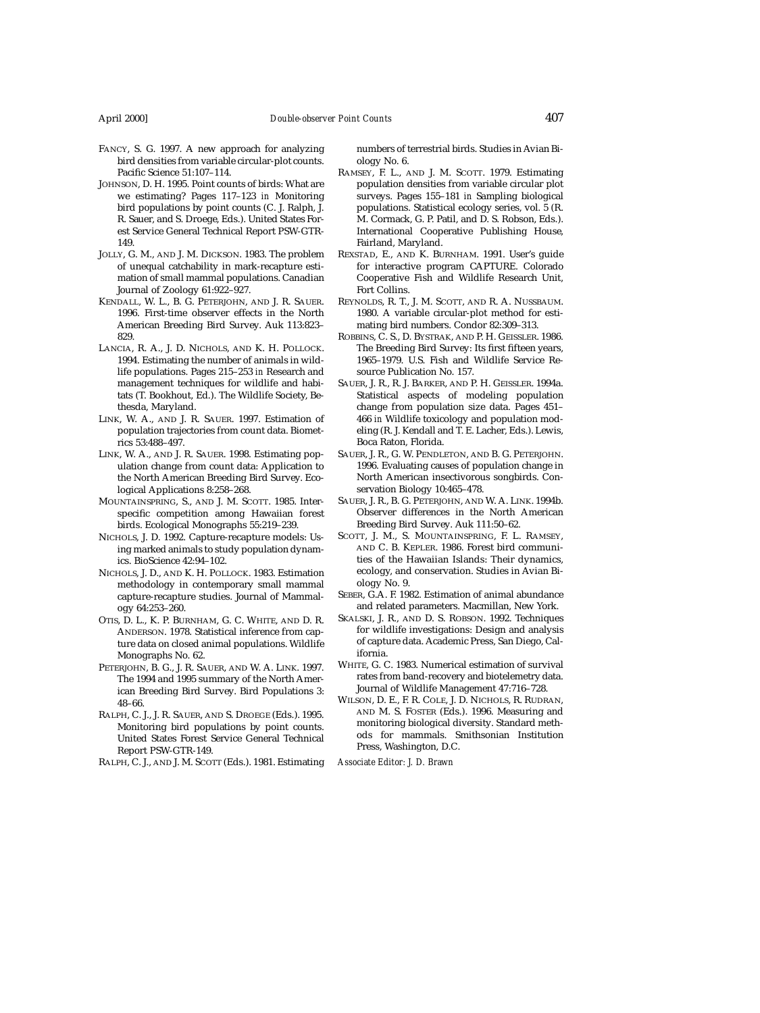- FANCY, S. G. 1997. A new approach for analyzing bird densities from variable circular-plot counts. Pacific Science 51:107–114.
- JOHNSON, D. H. 1995. Point counts of birds: What are we estimating? Pages 117–123 *in* Monitoring bird populations by point counts (C. J. Ralph, J. R. Sauer, and S. Droege, Eds.). United States Forest Service General Technical Report PSW-GTR-149.
- JOLLY, G. M., AND J. M. DICKSON. 1983. The problem of unequal catchability in mark-recapture estimation of small mammal populations. Canadian Journal of Zoology 61:922–927.
- KENDALL, W. L., B. G. PETERJOHN, AND J. R. SAUER. 1996. First-time observer effects in the North American Breeding Bird Survey. Auk 113:823– 829.
- LANCIA, R. A., J. D. NICHOLS, AND K. H. POLLOCK. 1994. Estimating the number of animals in wildlife populations. Pages 215–253 *in* Research and management techniques for wildlife and habitats (T. Bookhout, Ed.). The Wildlife Society, Bethesda, Maryland.
- LINK, W. A., AND J. R. SAUER. 1997. Estimation of population trajectories from count data. Biometrics 53:488–497.
- LINK, W. A., AND J. R. SAUER. 1998. Estimating population change from count data: Application to the North American Breeding Bird Survey. Ecological Applications 8:258–268.
- MOUNTAINSPRING, S., AND J. M. SCOTT. 1985. Interspecific competition among Hawaiian forest birds. Ecological Monographs 55:219–239.
- NICHOLS, J. D. 1992. Capture-recapture models: Using marked animals to study population dynamics. BioScience 42:94–102.
- NICHOLS, J. D., AND K. H. POLLOCK. 1983. Estimation methodology in contemporary small mammal capture-recapture studies. Journal of Mammalogy 64:253–260.
- OTIS, D. L., K. P. BURNHAM, G. C. WHITE, AND D. R. ANDERSON. 1978. Statistical inference from capture data on closed animal populations. Wildlife Monographs No. 62.
- PETERJOHN, B. G., J. R. SAUER, AND W. A. LINK. 1997. The 1994 and 1995 summary of the North American Breeding Bird Survey. Bird Populations 3: 48–66.
- RALPH, C. J., J. R. SAUER, AND S. DROEGE (Eds.). 1995. Monitoring bird populations by point counts. United States Forest Service General Technical Report PSW-GTR-149.

RALPH, C. J., AND J. M. SCOTT (Eds.). 1981. Estimating

numbers of terrestrial birds. Studies in Avian Biology No. 6.

- RAMSEY, F. L., AND J. M. SCOTT. 1979. Estimating population densities from variable circular plot surveys. Pages 155–181 *in* Sampling biological populations. Statistical ecology series, vol. 5 (R. M. Cormack, G. P. Patil, and D. S. Robson, Eds.). International Cooperative Publishing House, Fairland, Maryland.
- REXSTAD, E., AND K. BURNHAM. 1991. User's guide for interactive program CAPTURE. Colorado Cooperative Fish and Wildlife Research Unit, Fort Collins.
- REYNOLDS, R. T., J. M. SCOTT, AND R. A. NUSSBAUM. 1980. A variable circular-plot method for estimating bird numbers. Condor 82:309–313.
- ROBBINS, C. S., D. BYSTRAK, AND P. H. GEISSLER. 1986. The Breeding Bird Survey: Its first fifteen years, 1965–1979. U.S. Fish and Wildlife Service Resource Publication No. 157.
- SAUER, J. R., R. J. BARKER, AND P. H. GEISSLER. 1994a. Statistical aspects of modeling population change from population size data. Pages 451– 466 *in* Wildlife toxicology and population modeling (R. J. Kendall and T. E. Lacher, Eds.). Lewis, Boca Raton, Florida.
- SAUER, J. R., G. W. PENDLETON, AND B. G. PETERJOHN. 1996. Evaluating causes of population change in North American insectivorous songbirds. Conservation Biology 10:465–478.
- SAUER, J. R., B. G. PETERJOHN, AND W. A. LINK. 1994b. Observer differences in the North American Breeding Bird Survey. Auk 111:50–62.
- SCOTT, J. M., S. MOUNTAINSPRING, F. L. RAMSEY, AND C. B. KEPLER. 1986. Forest bird communities of the Hawaiian Islands: Their dynamics, ecology, and conservation. Studies in Avian Biology No. 9.
- SEBER, G.A. F. 1982. Estimation of animal abundance and related parameters. Macmillan, New York.
- SKALSKI, J. R., AND D. S. ROBSON. 1992. Techniques for wildlife investigations: Design and analysis of capture data. Academic Press, San Diego, California.
- WHITE, G. C. 1983. Numerical estimation of survival rates from band-recovery and biotelemetry data. Journal of Wildlife Management 47:716–728.
- WILSON, D. E., F. R. COLE, J. D. NICHOLS, R. RUDRAN, AND M. S. FOSTER (Eds.). 1996. Measuring and monitoring biological diversity. Standard methods for mammals. Smithsonian Institution Press, Washington, D.C.

*Associate Editor: J. D. Brawn*